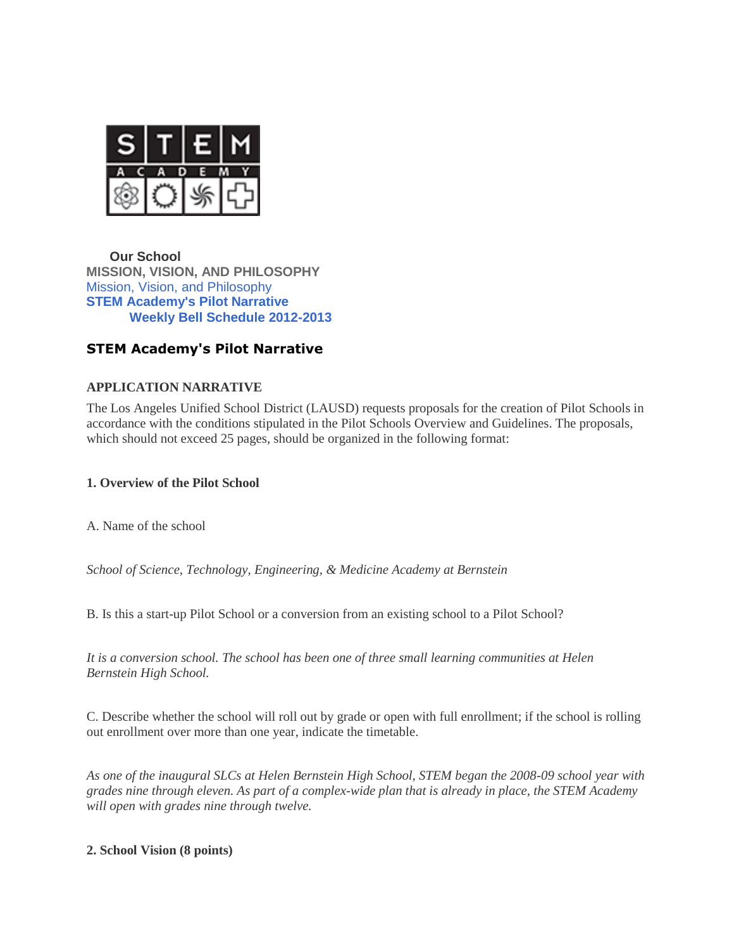

**[Our School](https://stem-lausd-ca.schoolloop.com/cms/section?d=x&group_id=1290582728541&return_url=1438302840353) [MISSION, VISION, AND](https://stem-lausd-ca.schoolloop.com/cms/section?d=x&group_id=1290582728541&return_url=1438302840353) PHILOSOPHY** [Mission, Vision, and Philosophy](https://stem-lausd-ca.schoolloop.com/mission_vision_philosophy) **[STEM Academy's Pilot Narrative](https://stem-lausd-ca.schoolloop.com/pilot_narrative) [Weekly Bell Schedule 2012-2013](https://stem-lausd-ca.schoolloop.com/cms/page_view?d=x&piid=&vpid=1313209900066)**

# **STEM Academy's Pilot Narrative**

# **APPLICATION NARRATIVE**

The Los Angeles Unified School District (LAUSD) requests proposals for the creation of Pilot Schools in accordance with the conditions stipulated in the Pilot Schools Overview and Guidelines. The proposals, which should not exceed 25 pages, should be organized in the following format:

### **1. Overview of the Pilot School**

A. Name of the school

*School of Science, Technology, Engineering, & Medicine Academy at Bernstein*

B. Is this a start-up Pilot School or a conversion from an existing school to a Pilot School?

*It is a conversion school. The school has been one of three small learning communities at Helen Bernstein High School.*

C. Describe whether the school will roll out by grade or open with full enrollment; if the school is rolling out enrollment over more than one year, indicate the timetable.

*As one of the inaugural SLCs at Helen Bernstein High School, STEM began the 2008-09 school year with grades nine through eleven. As part of a complex-wide plan that is already in place, the STEM Academy will open with grades nine through twelve.*

### **2. School Vision (8 points)**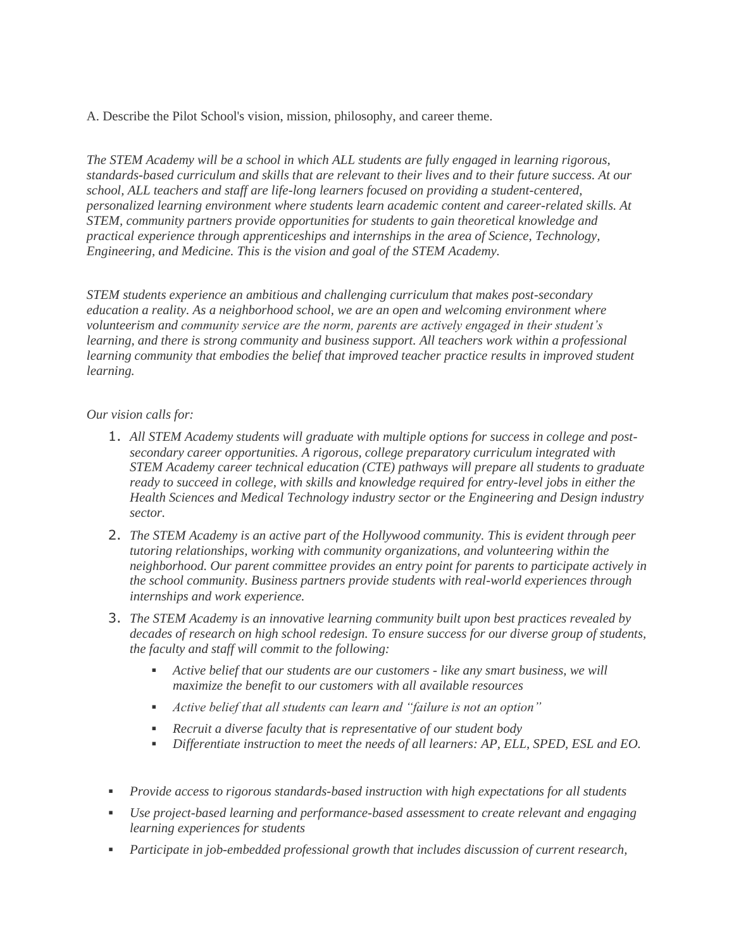A. Describe the Pilot School's vision, mission, philosophy, and career theme.

*The STEM Academy will be a school in which ALL students are fully engaged in learning rigorous, standards-based curriculum and skills that are relevant to their lives and to their future success. At our school, ALL teachers and staff are life-long learners focused on providing a student-centered, personalized learning environment where students learn academic content and career-related skills. At STEM, community partners provide opportunities for students to gain theoretical knowledge and practical experience through apprenticeships and internships in the area of Science, Technology, Engineering, and Medicine. This is the vision and goal of the STEM Academy.*

*STEM students experience an ambitious and challenging curriculum that makes post-secondary education a reality. As a neighborhood school, we are an open and welcoming environment where volunteerism and community service are the norm, parents are actively engaged in their student's learning, and there is strong community and business support. All teachers work within a professional learning community that embodies the belief that improved teacher practice results in improved student learning.*

#### *Our vision calls for:*

- 1. *All STEM Academy students will graduate with multiple options for success in college and postsecondary career opportunities. A rigorous, college preparatory curriculum integrated with STEM Academy career technical education (CTE) pathways will prepare all students to graduate ready to succeed in college, with skills and knowledge required for entry-level jobs in either the Health Sciences and Medical Technology industry sector or the Engineering and Design industry sector.*
- 2. *The STEM Academy is an active part of the Hollywood community. This is evident through peer tutoring relationships, working with community organizations, and volunteering within the neighborhood. Our parent committee provides an entry point for parents to participate actively in the school community. Business partners provide students with real-world experiences through internships and work experience.*
- 3. *The STEM Academy is an innovative learning community built upon best practices revealed by decades of research on high school redesign. To ensure success for our diverse group of students, the faculty and staff will commit to the following:*
	- *Active belief that our students are our customers - like any smart business, we will maximize the benefit to our customers with all available resources*
	- *Active belief that all students can learn and "failure is not an option"*
	- *Recruit a diverse faculty that is representative of our student body*
	- *Differentiate instruction to meet the needs of all learners: AP, ELL, SPED, ESL and EO.*
- *Provide access to rigorous standards-based instruction with high expectations for all students*
- *Use project-based learning and performance-based assessment to create relevant and engaging learning experiences for students*
- *Participate in job-embedded professional growth that includes discussion of current research,*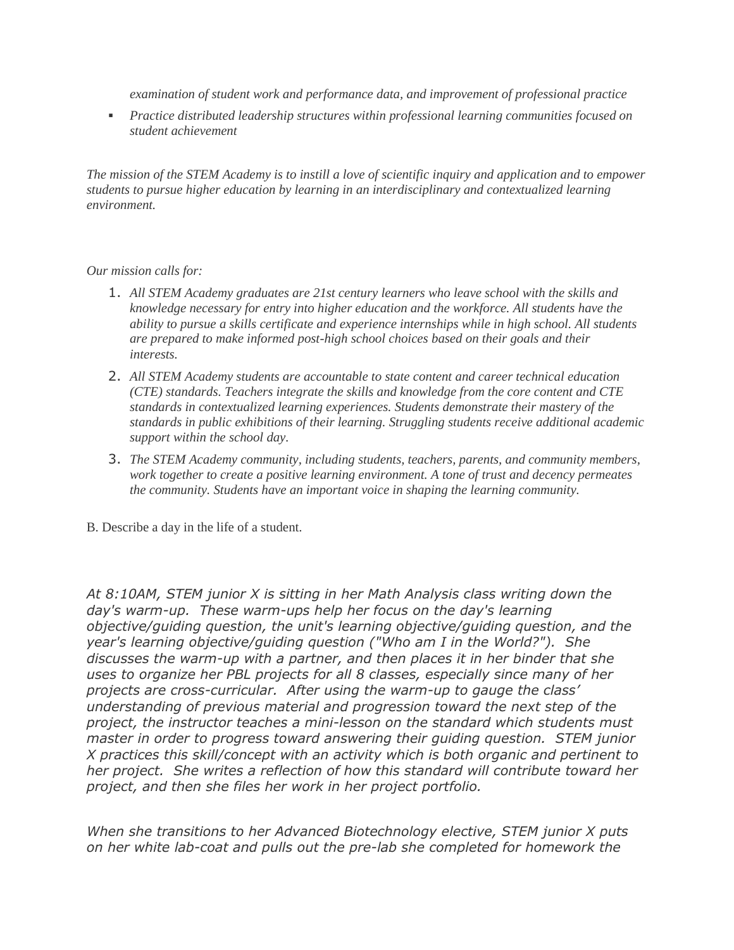*examination of student work and performance data, and improvement of professional practice*

 *Practice distributed leadership structures within professional learning communities focused on student achievement*

*The mission of the STEM Academy is to instill a love of scientific inquiry and application and to empower students to pursue higher education by learning in an interdisciplinary and contextualized learning environment.*

## *Our mission calls for:*

- 1. *All STEM Academy graduates are 21st century learners who leave school with the skills and knowledge necessary for entry into higher education and the workforce. All students have the ability to pursue a skills certificate and experience internships while in high school. All students are prepared to make informed post-high school choices based on their goals and their interests.*
- 2. *All STEM Academy students are accountable to state content and career technical education (CTE) standards. Teachers integrate the skills and knowledge from the core content and CTE standards in contextualized learning experiences. Students demonstrate their mastery of the standards in public exhibitions of their learning. Struggling students receive additional academic support within the school day.*
- 3. *The STEM Academy community, including students, teachers, parents, and community members, work together to create a positive learning environment. A tone of trust and decency permeates the community. Students have an important voice in shaping the learning community.*
- B. Describe a day in the life of a student.

*At 8:10AM, STEM junior X is sitting in her Math Analysis class writing down the day's warm-up. These warm-ups help her focus on the day's learning objective/guiding question, the unit's learning objective/guiding question, and the year's learning objective/guiding question ("Who am I in the World?"). She discusses the warm-up with a partner, and then places it in her binder that she uses to organize her PBL projects for all 8 classes, especially since many of her projects are cross-curricular. After using the warm-up to gauge the class' understanding of previous material and progression toward the next step of the project, the instructor teaches a mini-lesson on the standard which students must master in order to progress toward answering their guiding question. STEM junior X practices this skill/concept with an activity which is both organic and pertinent to her project. She writes a reflection of how this standard will contribute toward her project, and then she files her work in her project portfolio.*

*When she transitions to her Advanced Biotechnology elective, STEM junior X puts on her white lab-coat and pulls out the pre-lab she completed for homework the*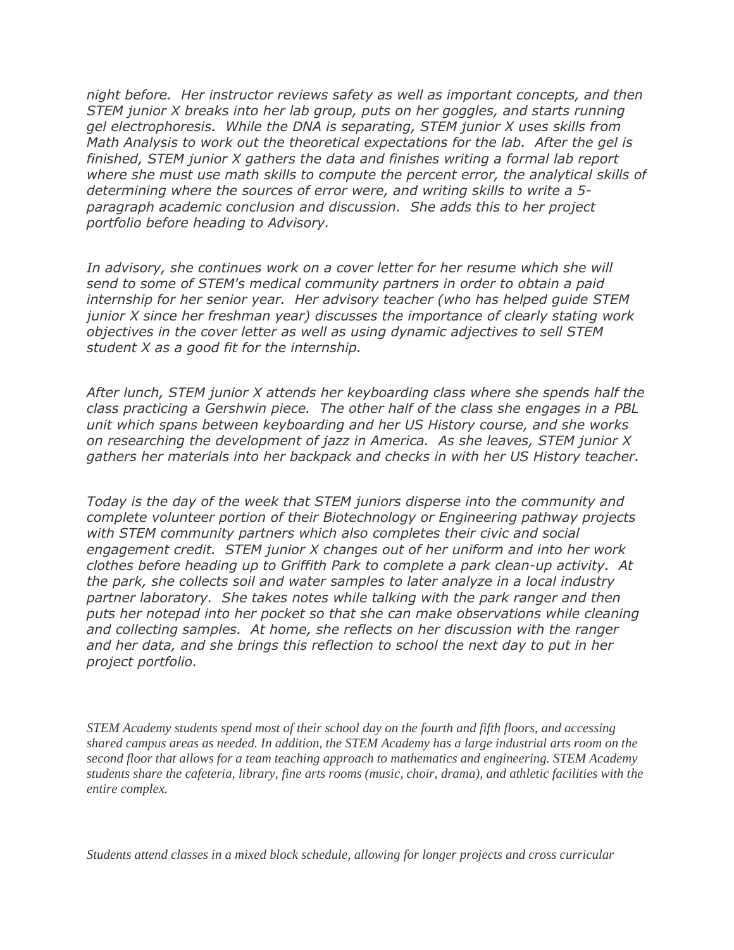*night before. Her instructor reviews safety as well as important concepts, and then STEM junior X breaks into her lab group, puts on her goggles, and starts running gel electrophoresis. While the DNA is separating, STEM junior X uses skills from Math Analysis to work out the theoretical expectations for the lab. After the gel is finished, STEM junior X gathers the data and finishes writing a formal lab report where she must use math skills to compute the percent error, the analytical skills of determining where the sources of error were, and writing skills to write a 5 paragraph academic conclusion and discussion. She adds this to her project portfolio before heading to Advisory.*

*In advisory, she continues work on a cover letter for her resume which she will send to some of STEM's medical community partners in order to obtain a paid internship for her senior year. Her advisory teacher (who has helped guide STEM junior X since her freshman year) discusses the importance of clearly stating work objectives in the cover letter as well as using dynamic adjectives to sell STEM student X as a good fit for the internship.*

*After lunch, STEM junior X attends her keyboarding class where she spends half the class practicing a Gershwin piece. The other half of the class she engages in a PBL unit which spans between keyboarding and her US History course, and she works on researching the development of jazz in America. As she leaves, STEM junior X gathers her materials into her backpack and checks in with her US History teacher.*

*Today is the day of the week that STEM juniors disperse into the community and complete volunteer portion of their Biotechnology or Engineering pathway projects with STEM community partners which also completes their civic and social engagement credit. STEM junior X changes out of her uniform and into her work clothes before heading up to Griffith Park to complete a park clean-up activity. At the park, she collects soil and water samples to later analyze in a local industry partner laboratory. She takes notes while talking with the park ranger and then puts her notepad into her pocket so that she can make observations while cleaning and collecting samples. At home, she reflects on her discussion with the ranger and her data, and she brings this reflection to school the next day to put in her project portfolio.*

*STEM Academy students spend most of their school day on the fourth and fifth floors, and accessing shared campus areas as needed. In addition, the STEM Academy has a large industrial arts room on the second floor that allows for a team teaching approach to mathematics and engineering. STEM Academy students share the cafeteria, library, fine arts rooms (music, choir, drama), and athletic facilities with the entire complex.*

*Students attend classes in a mixed block schedule, allowing for longer projects and cross curricular*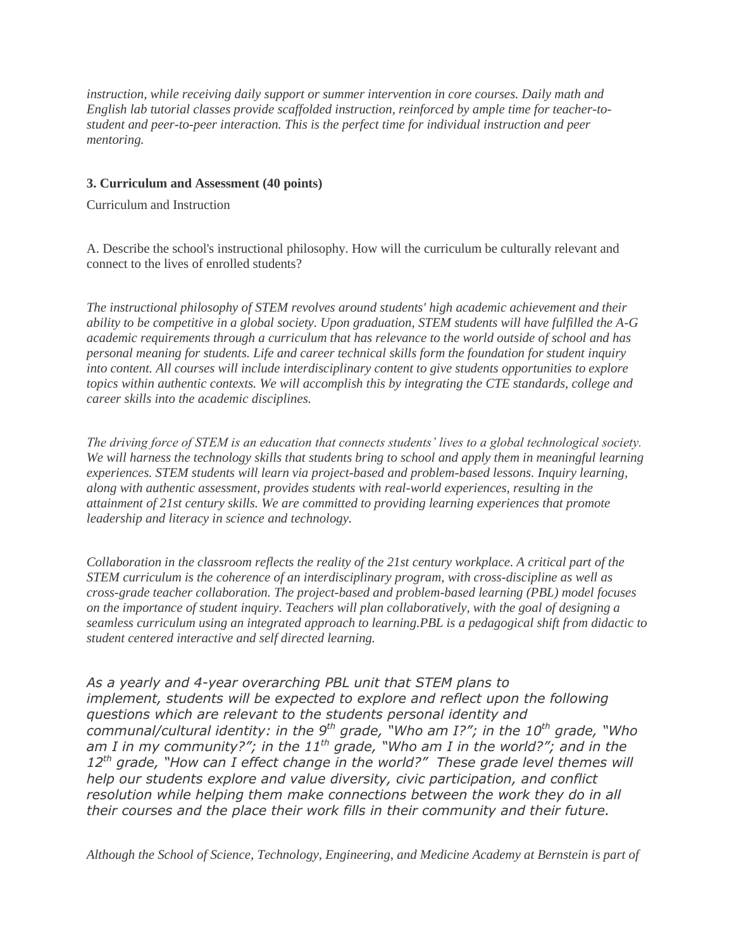*instruction, while receiving daily support or summer intervention in core courses. Daily math and English lab tutorial classes provide scaffolded instruction, reinforced by ample time for teacher-tostudent and peer-to-peer interaction. This is the perfect time for individual instruction and peer mentoring.*

### **3. Curriculum and Assessment (40 points)**

Curriculum and Instruction

A. Describe the school's instructional philosophy. How will the curriculum be culturally relevant and connect to the lives of enrolled students?

*The instructional philosophy of STEM revolves around students' high academic achievement and their ability to be competitive in a global society. Upon graduation, STEM students will have fulfilled the A-G academic requirements through a curriculum that has relevance to the world outside of school and has personal meaning for students. Life and career technical skills form the foundation for student inquiry into content. All courses will include interdisciplinary content to give students opportunities to explore topics within authentic contexts. We will accomplish this by integrating the CTE standards, college and career skills into the academic disciplines.*

*The driving force of STEM is an education that connects students' lives to a global technological society. We will harness the technology skills that students bring to school and apply them in meaningful learning experiences. STEM students will learn via project-based and problem-based lessons. Inquiry learning, along with authentic assessment, provides students with real-world experiences, resulting in the attainment of 21st century skills. We are committed to providing learning experiences that promote leadership and literacy in science and technology.*

*Collaboration in the classroom reflects the reality of the 21st century workplace. A critical part of the STEM curriculum is the coherence of an interdisciplinary program, with cross-discipline as well as cross-grade teacher collaboration. The project-based and problem-based learning (PBL) model focuses on the importance of student inquiry. Teachers will plan collaboratively, with the goal of designing a seamless curriculum using an integrated approach to learning.PBL is a pedagogical shift from didactic to student centered interactive and self directed learning.*

*As a yearly and 4-year overarching PBL unit that STEM plans to implement, students will be expected to explore and reflect upon the following questions which are relevant to the students personal identity and communal/cultural identity: in the 9th grade, "Who am I?"; in the 10th grade, "Who am I in my community?"; in the 11th grade, "Who am I in the world?"; and in the 12th grade, "How can I effect change in the world?" These grade level themes will help our students explore and value diversity, civic participation, and conflict resolution while helping them make connections between the work they do in all their courses and the place their work fills in their community and their future.*

*Although the School of Science, Technology, Engineering, and Medicine Academy at Bernstein is part of*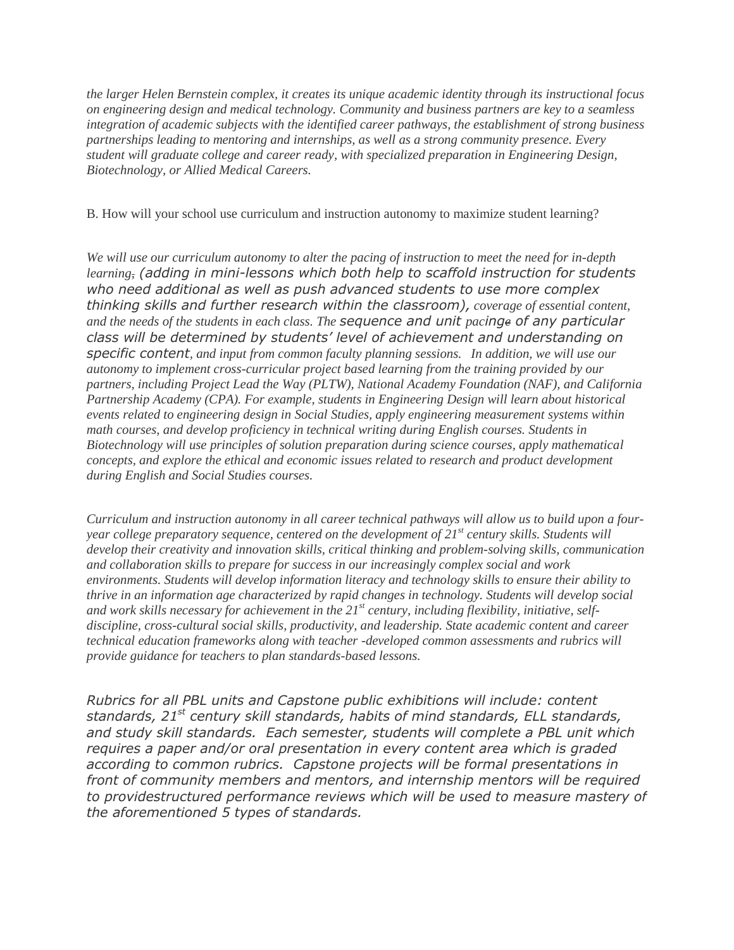*the larger Helen Bernstein complex, it creates its unique academic identity through its instructional focus on engineering design and medical technology. Community and business partners are key to a seamless integration of academic subjects with the identified career pathways, the establishment of strong business partnerships leading to mentoring and internships, as well as a strong community presence. Every student will graduate college and career ready, with specialized preparation in Engineering Design, Biotechnology, or Allied Medical Careers.*

#### B. How will your school use curriculum and instruction autonomy to maximize student learning?

*We will use our curriculum autonomy to alter the pacing of instruction to meet the need for in-depth learning, (adding in mini-lessons which both help to scaffold instruction for students who need additional as well as push advanced students to use more complex thinking skills and further research within the classroom), coverage of essential content, and the needs of the students in each class. The sequence and unit pacinge of any particular class will be determined by students' level of achievement and understanding on specific content, and input from common faculty planning sessions. In addition, we will use our autonomy to implement cross-curricular project based learning from the training provided by our partners, including Project Lead the Way (PLTW), National Academy Foundation (NAF), and California Partnership Academy (CPA). For example, students in Engineering Design will learn about historical events related to engineering design in Social Studies, apply engineering measurement systems within math courses, and develop proficiency in technical writing during English courses. Students in Biotechnology will use principles of solution preparation during science courses, apply mathematical concepts, and explore the ethical and economic issues related to research and product development during English and Social Studies courses.*

*Curriculum and instruction autonomy in all career technical pathways will allow us to build upon a fouryear college preparatory sequence, centered on the development of 21st century skills. Students will develop their creativity and innovation skills, critical thinking and problem-solving skills, communication and collaboration skills to prepare for success in our increasingly complex social and work environments. Students will develop information literacy and technology skills to ensure their ability to thrive in an information age characterized by rapid changes in technology. Students will develop social and work skills necessary for achievement in the 21st century, including flexibility, initiative, selfdiscipline, cross-cultural social skills, productivity, and leadership. State academic content and career technical education frameworks along with teacher -developed common assessments and rubrics will provide guidance for teachers to plan standards-based lessons.*

*Rubrics for all PBL units and Capstone public exhibitions will include: content standards, 21st century skill standards, habits of mind standards, ELL standards, and study skill standards. Each semester, students will complete a PBL unit which requires a paper and/or oral presentation in every content area which is graded according to common rubrics. Capstone projects will be formal presentations in front of community members and mentors, and internship mentors will be required to providestructured performance reviews which will be used to measure mastery of the aforementioned 5 types of standards.*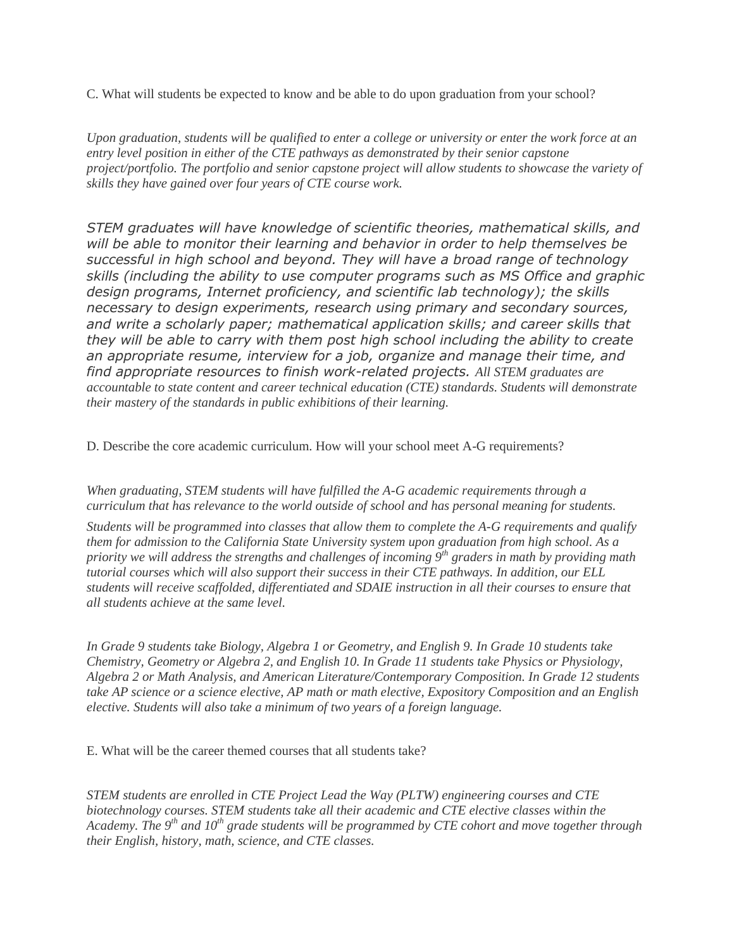C. What will students be expected to know and be able to do upon graduation from your school?

*Upon graduation, students will be qualified to enter a college or university or enter the work force at an entry level position in either of the CTE pathways as demonstrated by their senior capstone project/portfolio. The portfolio and senior capstone project will allow students to showcase the variety of skills they have gained over four years of CTE course work.*

*STEM graduates will have knowledge of scientific theories, mathematical skills, and will be able to monitor their learning and behavior in order to help themselves be successful in high school and beyond. They will have a broad range of technology skills (including the ability to use computer programs such as MS Office and graphic design programs, Internet proficiency, and scientific lab technology); the skills necessary to design experiments, research using primary and secondary sources, and write a scholarly paper; mathematical application skills; and career skills that they will be able to carry with them post high school including the ability to create an appropriate resume, interview for a job, organize and manage their time, and find appropriate resources to finish work-related projects. All STEM graduates are accountable to state content and career technical education (CTE) standards. Students will demonstrate their mastery of the standards in public exhibitions of their learning.*

D. Describe the core academic curriculum. How will your school meet A-G requirements?

*When graduating, STEM students will have fulfilled the A-G academic requirements through a curriculum that has relevance to the world outside of school and has personal meaning for students.*

*Students will be programmed into classes that allow them to complete the A-G requirements and qualify them for admission to the California State University system upon graduation from high school. As a priority we will address the strengths and challenges of incoming 9th graders in math by providing math tutorial courses which will also support their success in their CTE pathways. In addition, our ELL students will receive scaffolded, differentiated and SDAIE instruction in all their courses to ensure that all students achieve at the same level.*

*In Grade 9 students take Biology, Algebra 1 or Geometry, and English 9. In Grade 10 students take Chemistry, Geometry or Algebra 2, and English 10. In Grade 11 students take Physics or Physiology, Algebra 2 or Math Analysis, and American Literature/Contemporary Composition. In Grade 12 students take AP science or a science elective, AP math or math elective, Expository Composition and an English elective. Students will also take a minimum of two years of a foreign language.*

E. What will be the career themed courses that all students take?

*STEM students are enrolled in CTE Project Lead the Way (PLTW) engineering courses and CTE biotechnology courses. STEM students take all their academic and CTE elective classes within the Academy. The 9th and 10th grade students will be programmed by CTE cohort and move together through their English, history, math, science, and CTE classes.*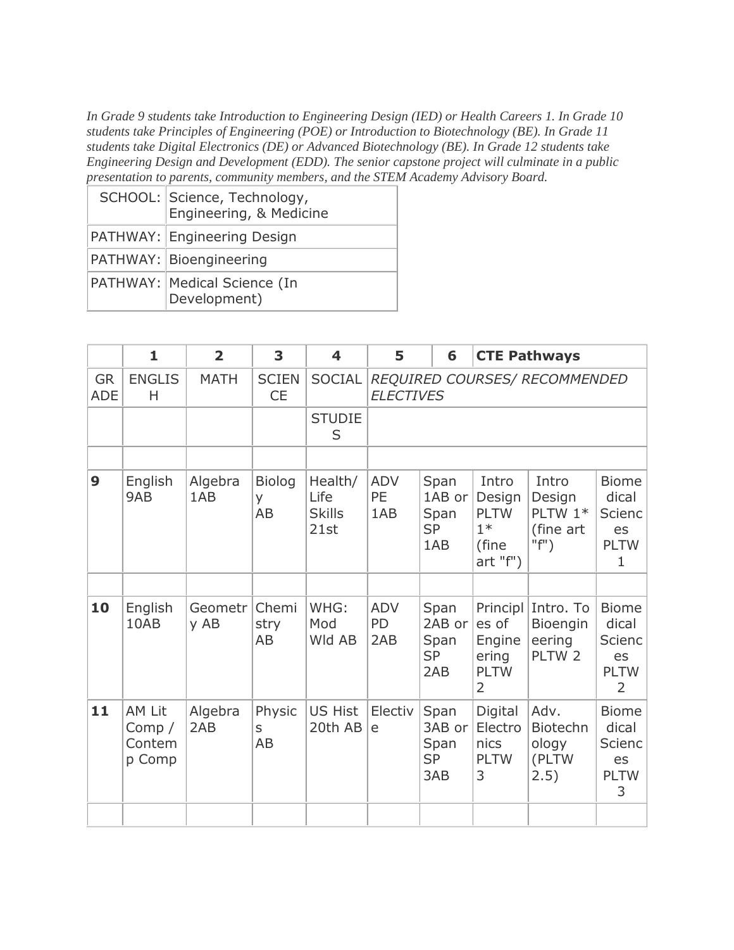*In Grade 9 students take Introduction to Engineering Design (IED) or Health Careers 1. In Grade 10 students take Principles of Engineering (POE) or Introduction to Biotechnology (BE). In Grade 11 students take Digital Electronics (DE) or Advanced Biotechnology (BE). In Grade 12 students take Engineering Design and Development (EDD). The senior capstone project will culminate in a public presentation to parents, community members, and the STEM Academy Advisory Board.*

| SCHOOL: Science, Technology,<br>Engineering, & Medicine |
|---------------------------------------------------------|
| PATHWAY: Engineering Design                             |
| PATHWAY: Bioengineering                                 |
| PATHWAY:   Medical Science (In<br>Development)          |

|                         | $\mathbf{1}$                           | $\overline{2}$  | 3                                | $\overline{\mathbf{4}}$                  | 5                                                 | 6                                          |                                                             | <b>CTE Pathways</b>                                           |                                                                            |
|-------------------------|----------------------------------------|-----------------|----------------------------------|------------------------------------------|---------------------------------------------------|--------------------------------------------|-------------------------------------------------------------|---------------------------------------------------------------|----------------------------------------------------------------------------|
| <b>GR</b><br><b>ADE</b> | <b>ENGLIS</b><br>H                     | <b>MATH</b>     | <b>SCIEN</b><br><b>CE</b>        | SOCIAL                                   | REQUIRED COURSES/ RECOMMENDED<br><b>ELECTIVES</b> |                                            |                                                             |                                                               |                                                                            |
|                         |                                        |                 |                                  | <b>STUDIE</b><br>S                       |                                                   |                                            |                                                             |                                                               |                                                                            |
|                         |                                        |                 |                                  |                                          |                                                   |                                            |                                                             |                                                               |                                                                            |
| 9                       | English<br>9AB                         | Algebra<br>1AB  | <b>Biolog</b><br>y.<br><b>AB</b> | Health/<br>Life<br><b>Skills</b><br>21st | ADV<br>PE<br>1AB                                  | Span<br>1AB or<br>Span<br><b>SP</b><br>1AB | Intro<br>Design<br><b>PLTW</b><br>$1*$<br>(fine<br>art "f") | Intro<br>Design<br>PLTW 1*<br>(fine art)<br>$"f"$ )           | <b>Biome</b><br>dical<br><b>Scienc</b><br>es<br><b>PLTW</b><br>$\mathbf 1$ |
|                         |                                        |                 |                                  |                                          |                                                   |                                            |                                                             |                                                               |                                                                            |
| 10                      | English<br>10AB                        | Geometr<br>y AB | Chemi<br>stry<br>AB              | WHG:<br>Mod<br>Wld AB                    | <b>ADV</b><br>PD<br>2AB                           | Span<br>2AB or<br>Span<br><b>SP</b><br>2AB | es of<br>Engine<br>ering<br><b>PLTW</b><br>2                | Principl Intro. To<br>Bioengin<br>eering<br>PLTW <sub>2</sub> | <b>Biome</b><br>dical<br>Scienc<br>es<br><b>PLTW</b><br>$\overline{2}$     |
| 11                      | AM Lit<br>Comp $/$<br>Contem<br>p Comp | Algebra<br>2AB  | Physic<br>S<br><b>AB</b>         | <b>US Hist</b><br>20th AB                | Electiv<br>e                                      | Span<br>3AB or<br>Span<br><b>SP</b><br>3AB | Digital<br>Electro<br>nics<br><b>PLTW</b><br>3              | Adv.<br>Biotechn<br>ology<br>(PLTW<br>2.5)                    | <b>Biome</b><br>dical<br>Scienc<br>es<br><b>PLTW</b><br>3                  |
|                         |                                        |                 |                                  |                                          |                                                   |                                            |                                                             |                                                               |                                                                            |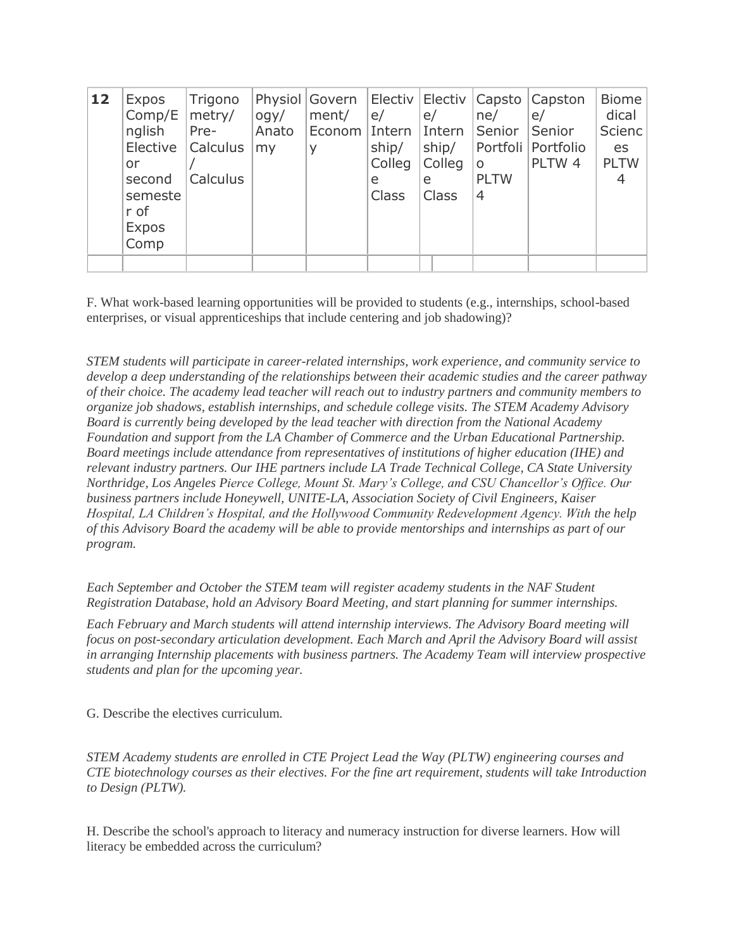| 12 | Expos<br>Comp/E<br>nglish<br>Elective<br>or<br>second<br>semeste<br>r of<br><b>Expos</b><br>Comp | Trigono<br>metry/<br>Pre-<br><b>Calculus</b><br>Calculus | q<br>Anato<br>my | Physiol Govern   Electiv  <br>ment/<br>Econom Intern<br>y | e/<br>ship/<br>Colleg<br>e<br>Class | e/<br>Intern<br>ship/<br>Colleg<br>e<br><b>Class</b> | Electiv Capsto<br>ne/<br>Senior<br>Portfoli<br>$\circ$<br><b>PLTW</b><br>4 | Capston<br>e/<br>Senior<br>Portfolio<br>PLTW 4 | <b>Biome</b><br>dical<br><b>Scienc</b><br>es<br><b>PLTW</b><br>4 |
|----|--------------------------------------------------------------------------------------------------|----------------------------------------------------------|------------------|-----------------------------------------------------------|-------------------------------------|------------------------------------------------------|----------------------------------------------------------------------------|------------------------------------------------|------------------------------------------------------------------|
|    |                                                                                                  |                                                          |                  |                                                           |                                     |                                                      |                                                                            |                                                |                                                                  |

F. What work-based learning opportunities will be provided to students (e.g., internships, school-based enterprises, or visual apprenticeships that include centering and job shadowing)?

*STEM students will participate in career-related internships, work experience, and community service to develop a deep understanding of the relationships between their academic studies and the career pathway of their choice. The academy lead teacher will reach out to industry partners and community members to organize job shadows, establish internships, and schedule college visits. The STEM Academy Advisory Board is currently being developed by the lead teacher with direction from the National Academy Foundation and support from the LA Chamber of Commerce and the Urban Educational Partnership. Board meetings include attendance from representatives of institutions of higher education (IHE) and relevant industry partners. Our IHE partners include LA Trade Technical College, CA State University Northridge, Los Angeles Pierce College, Mount St. Mary's College, and CSU Chancellor's Office. Our business partners include Honeywell, UNITE-LA, Association Society of Civil Engineers, Kaiser Hospital, LA Children's Hospital, and the Hollywood Community Redevelopment Agency. With the help of this Advisory Board the academy will be able to provide mentorships and internships as part of our program.*

*Each September and October the STEM team will register academy students in the NAF Student Registration Database, hold an Advisory Board Meeting, and start planning for summer internships.*

*Each February and March students will attend internship interviews. The Advisory Board meeting will focus on post-secondary articulation development. Each March and April the Advisory Board will assist in arranging Internship placements with business partners. The Academy Team will interview prospective students and plan for the upcoming year.*

G. Describe the electives curriculum.

*STEM Academy students are enrolled in CTE Project Lead the Way (PLTW) engineering courses and CTE biotechnology courses as their electives. For the fine art requirement, students will take Introduction to Design (PLTW).*

H. Describe the school's approach to literacy and numeracy instruction for diverse learners. How will literacy be embedded across the curriculum?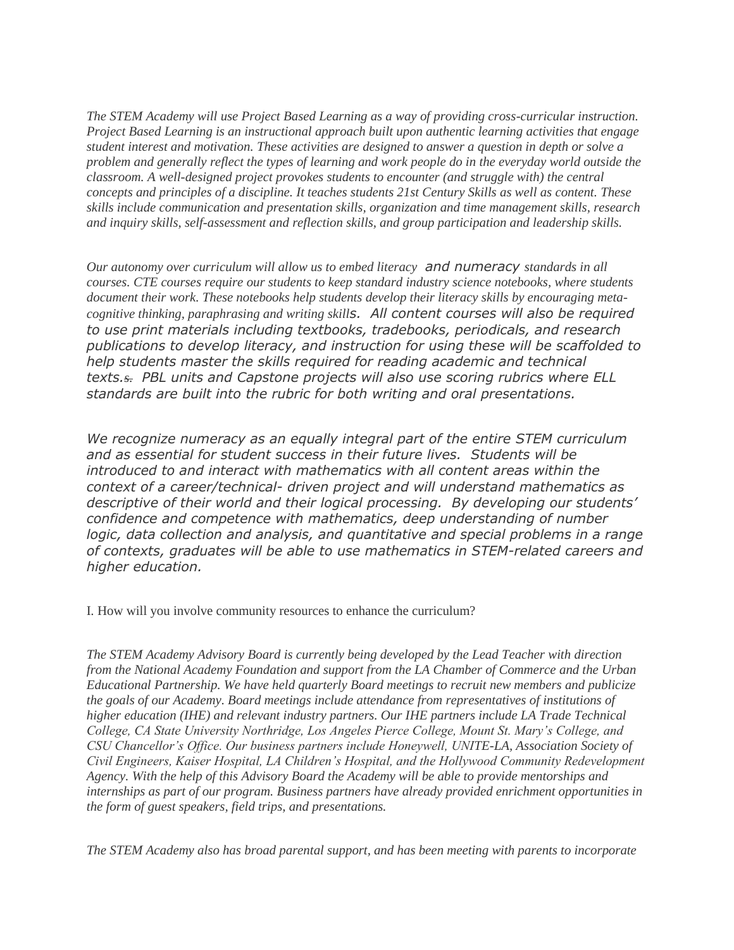*The STEM Academy will use Project Based Learning as a way of providing cross-curricular instruction. Project Based Learning is an instructional approach built upon authentic learning activities that engage student interest and motivation. These activities are designed to answer a question in depth or solve a problem and generally reflect the types of learning and work people do in the everyday world outside the classroom. A well-designed project provokes students to encounter (and struggle with) the central concepts and principles of a discipline. It teaches students 21st Century Skills as well as content. These skills include communication and presentation skills, organization and time management skills, research and inquiry skills, self-assessment and reflection skills, and group participation and leadership skills.*

*Our autonomy over curriculum will allow us to embed literacy and numeracy standards in all courses. CTE courses require our students to keep standard industry science notebooks, where students document their work. These notebooks help students develop their literacy skills by encouraging metacognitive thinking, paraphrasing and writing skills. All content courses will also be required to use print materials including textbooks, tradebooks, periodicals, and research publications to develop literacy, and instruction for using these will be scaffolded to help students master the skills required for reading academic and technical texts.s. PBL units and Capstone projects will also use scoring rubrics where ELL standards are built into the rubric for both writing and oral presentations.*

*We recognize numeracy as an equally integral part of the entire STEM curriculum and as essential for student success in their future lives. Students will be introduced to and interact with mathematics with all content areas within the context of a career/technical- driven project and will understand mathematics as descriptive of their world and their logical processing. By developing our students' confidence and competence with mathematics, deep understanding of number logic, data collection and analysis, and quantitative and special problems in a range of contexts, graduates will be able to use mathematics in STEM-related careers and higher education.*

I. How will you involve community resources to enhance the curriculum?

*The STEM Academy Advisory Board is currently being developed by the Lead Teacher with direction from the National Academy Foundation and support from the LA Chamber of Commerce and the Urban Educational Partnership. We have held quarterly Board meetings to recruit new members and publicize the goals of our Academy. Board meetings include attendance from representatives of institutions of higher education (IHE) and relevant industry partners. Our IHE partners include LA Trade Technical College, CA State University Northridge, Los Angeles Pierce College, Mount St. Mary's College, and CSU Chancellor's Office. Our business partners include Honeywell, UNITE-LA, Association Society of Civil Engineers, Kaiser Hospital, LA Children's Hospital, and the Hollywood Community Redevelopment Agency. With the help of this Advisory Board the Academy will be able to provide mentorships and internships as part of our program. Business partners have already provided enrichment opportunities in the form of guest speakers, field trips, and presentations.*

*The STEM Academy also has broad parental support, and has been meeting with parents to incorporate*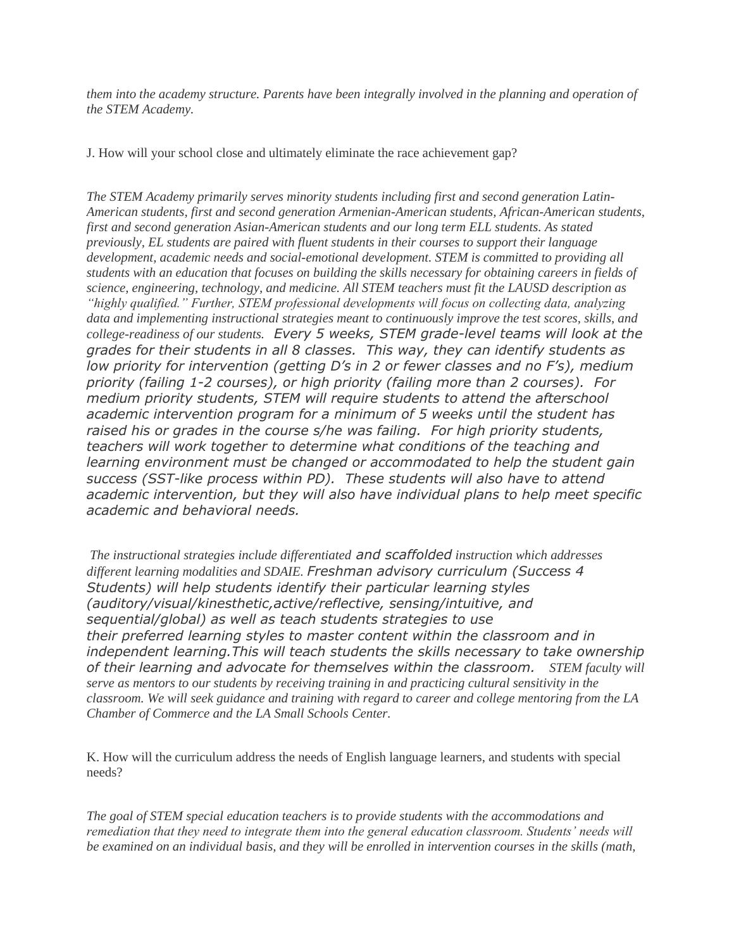*them into the academy structure. Parents have been integrally involved in the planning and operation of the STEM Academy.*

J. How will your school close and ultimately eliminate the race achievement gap?

*The STEM Academy primarily serves minority students including first and second generation Latin-American students, first and second generation Armenian-American students, African-American students, first and second generation Asian-American students and our long term ELL students. As stated previously, EL students are paired with fluent students in their courses to support their language development, academic needs and social-emotional development. STEM is committed to providing all students with an education that focuses on building the skills necessary for obtaining careers in fields of science, engineering, technology, and medicine. All STEM teachers must fit the LAUSD description as "highly qualified." Further, STEM professional developments will focus on collecting data, analyzing data and implementing instructional strategies meant to continuously improve the test scores, skills, and college-readiness of our students. Every 5 weeks, STEM grade-level teams will look at the grades for their students in all 8 classes. This way, they can identify students as low priority for intervention (getting D's in 2 or fewer classes and no F's), medium priority (failing 1-2 courses), or high priority (failing more than 2 courses). For medium priority students, STEM will require students to attend the afterschool academic intervention program for a minimum of 5 weeks until the student has raised his or grades in the course s/he was failing. For high priority students, teachers will work together to determine what conditions of the teaching and learning environment must be changed or accommodated to help the student gain success (SST-like process within PD). These students will also have to attend academic intervention, but they will also have individual plans to help meet specific academic and behavioral needs.*

*The instructional strategies include differentiated and scaffolded instruction which addresses different learning modalities and SDAIE. Freshman advisory curriculum (Success 4 Students) will help students identify their particular learning styles (auditory/visual/kinesthetic,active/reflective, sensing/intuitive, and sequential/global) as well as teach students strategies to use their preferred learning styles to master content within the classroom and in independent learning.This will teach students the skills necessary to take ownership of their learning and advocate for themselves within the classroom. STEM faculty will serve as mentors to our students by receiving training in and practicing cultural sensitivity in the classroom. We will seek guidance and training with regard to career and college mentoring from the LA Chamber of Commerce and the LA Small Schools Center.*

K. How will the curriculum address the needs of English language learners, and students with special needs?

*The goal of STEM special education teachers is to provide students with the accommodations and remediation that they need to integrate them into the general education classroom. Students' needs will be examined on an individual basis, and they will be enrolled in intervention courses in the skills (math,*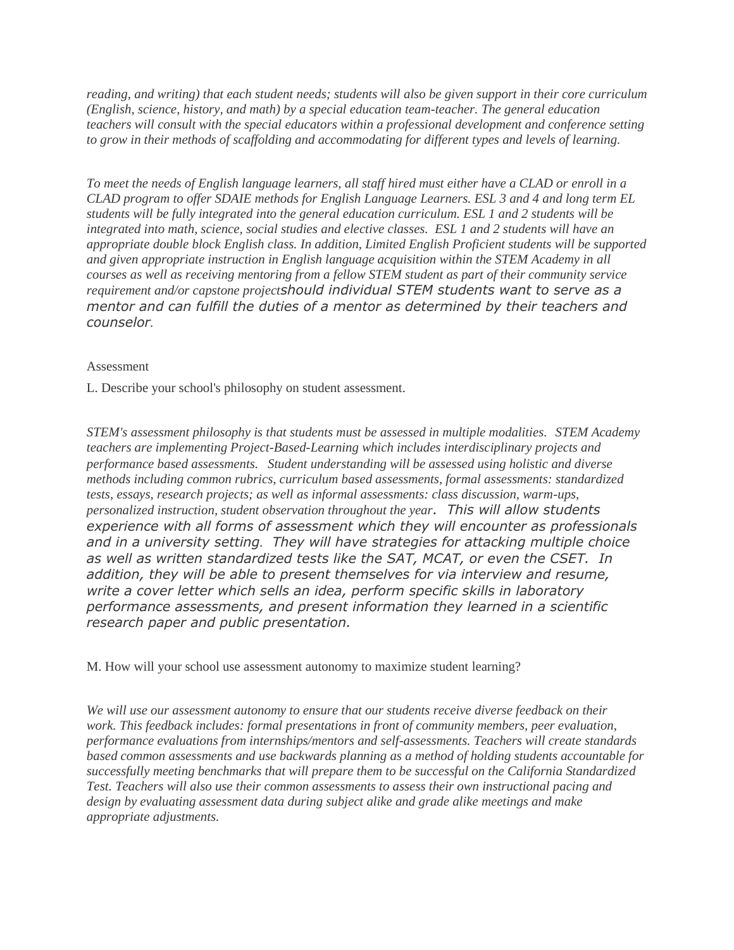*reading, and writing) that each student needs; students will also be given support in their core curriculum (English, science, history, and math) by a special education team-teacher. The general education teachers will consult with the special educators within a professional development and conference setting to grow in their methods of scaffolding and accommodating for different types and levels of learning.*

*To meet the needs of English language learners, all staff hired must either have a CLAD or enroll in a CLAD program to offer SDAIE methods for English Language Learners. ESL 3 and 4 and long term EL students will be fully integrated into the general education curriculum. ESL 1 and 2 students will be integrated into math, science, social studies and elective classes. ESL 1 and 2 students will have an appropriate double block English class. In addition, Limited English Proficient students will be supported and given appropriate instruction in English language acquisition within the STEM Academy in all courses as well as receiving mentoring from a fellow STEM student as part of their community service requirement and/or capstone projectshould individual STEM students want to serve as a mentor and can fulfill the duties of a mentor as determined by their teachers and counselor.*

### Assessment

L. Describe your school's philosophy on student assessment.

*STEM's assessment philosophy is that students must be assessed in multiple modalities. STEM Academy teachers are implementing Project-Based-Learning which includes interdisciplinary projects and performance based assessments. Student understanding will be assessed using holistic and diverse methods including common rubrics, curriculum based assessments, formal assessments: standardized tests, essays, research projects; as well as informal assessments: class discussion, warm-ups, personalized instruction, student observation throughout the year. This will allow students experience with all forms of assessment which they will encounter as professionals and in a university setting. They will have strategies for attacking multiple choice as well as written standardized tests like the SAT, MCAT, or even the CSET. In addition, they will be able to present themselves for via interview and resume, write a cover letter which sells an idea, perform specific skills in laboratory performance assessments, and present information they learned in a scientific research paper and public presentation.*

M. How will your school use assessment autonomy to maximize student learning?

*We will use our assessment autonomy to ensure that our students receive diverse feedback on their work. This feedback includes: formal presentations in front of community members, peer evaluation, performance evaluations from internships/mentors and self-assessments. Teachers will create standards based common assessments and use backwards planning as a method of holding students accountable for successfully meeting benchmarks that will prepare them to be successful on the California Standardized Test. Teachers will also use their common assessments to assess their own instructional pacing and design by evaluating assessment data during subject alike and grade alike meetings and make appropriate adjustments.*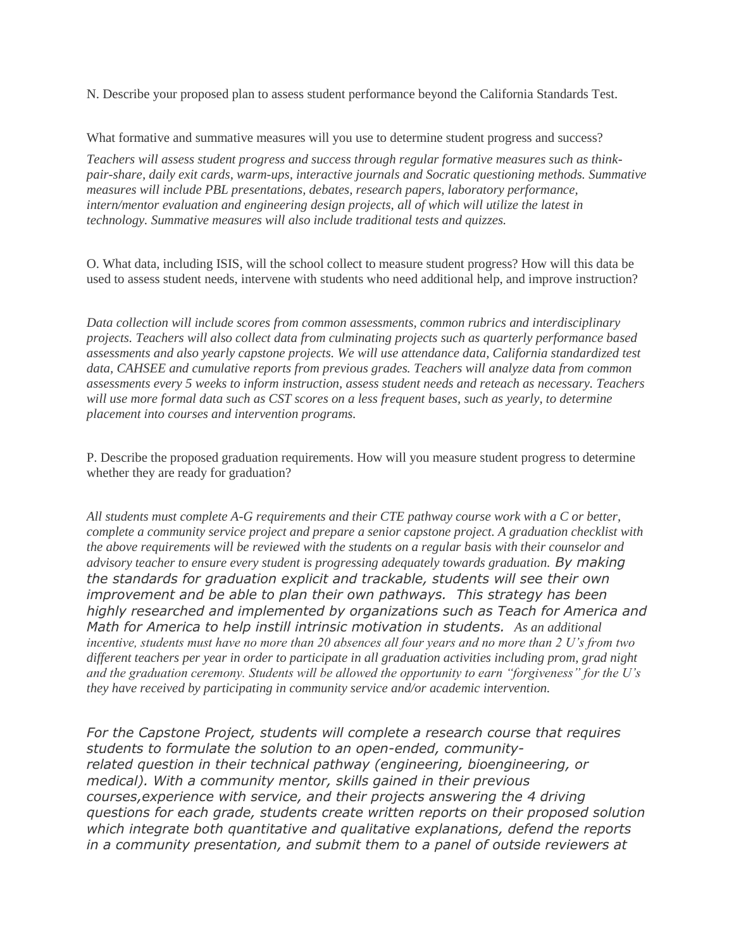N. Describe your proposed plan to assess student performance beyond the California Standards Test.

What formative and summative measures will you use to determine student progress and success?

*Teachers will assess student progress and success through regular formative measures such as thinkpair-share, daily exit cards, warm-ups, interactive journals and Socratic questioning methods. Summative measures will include PBL presentations, debates, research papers, laboratory performance, intern/mentor evaluation and engineering design projects, all of which will utilize the latest in technology. Summative measures will also include traditional tests and quizzes.*

O. What data, including ISIS, will the school collect to measure student progress? How will this data be used to assess student needs, intervene with students who need additional help, and improve instruction?

*Data collection will include scores from common assessments, common rubrics and interdisciplinary projects. Teachers will also collect data from culminating projects such as quarterly performance based assessments and also yearly capstone projects. We will use attendance data, California standardized test data, CAHSEE and cumulative reports from previous grades. Teachers will analyze data from common assessments every 5 weeks to inform instruction, assess student needs and reteach as necessary. Teachers will use more formal data such as CST scores on a less frequent bases, such as yearly, to determine placement into courses and intervention programs.*

P. Describe the proposed graduation requirements. How will you measure student progress to determine whether they are ready for graduation?

*All students must complete A-G requirements and their CTE pathway course work with a C or better, complete a community service project and prepare a senior capstone project. A graduation checklist with the above requirements will be reviewed with the students on a regular basis with their counselor and advisory teacher to ensure every student is progressing adequately towards graduation. By making the standards for graduation explicit and trackable, students will see their own improvement and be able to plan their own pathways. This strategy has been highly researched and implemented by organizations such as Teach for America and Math for America to help instill intrinsic motivation in students. As an additional incentive, students must have no more than 20 absences all four years and no more than 2 U's from two different teachers per year in order to participate in all graduation activities including prom, grad night and the graduation ceremony. Students will be allowed the opportunity to earn "forgiveness" for the U's they have received by participating in community service and/or academic intervention.*

*For the Capstone Project, students will complete a research course that requires students to formulate the solution to an open-ended, communityrelated question in their technical pathway (engineering, bioengineering, or medical). With a community mentor, skills gained in their previous courses,experience with service, and their projects answering the 4 driving questions for each grade, students create written reports on their proposed solution which integrate both quantitative and qualitative explanations, defend the reports in a community presentation, and submit them to a panel of outside reviewers at*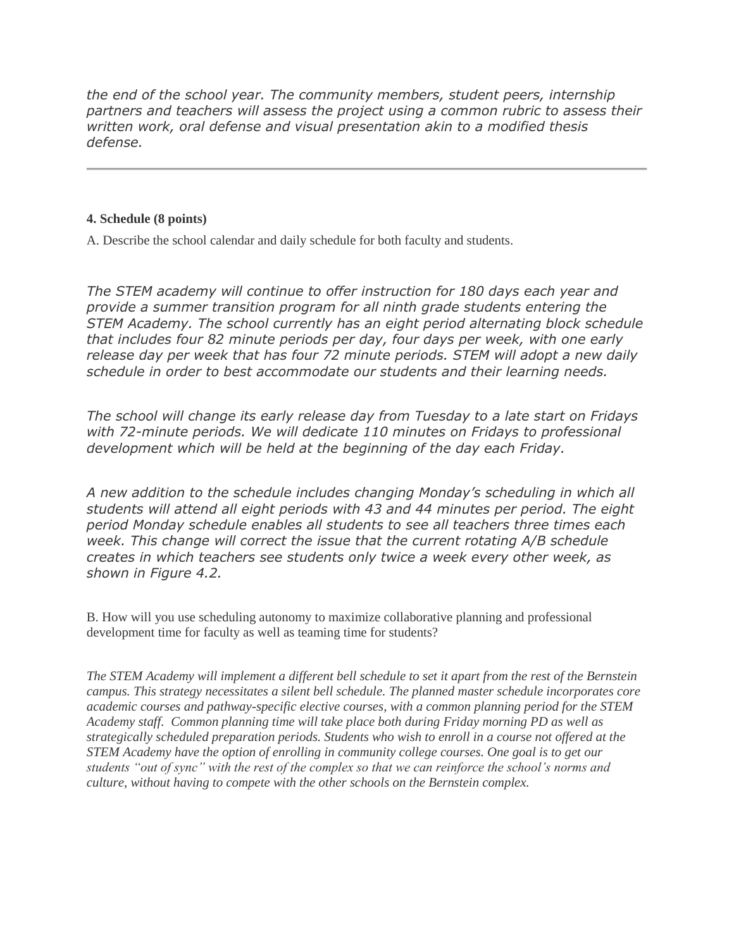*the end of the school year. The community members, student peers, internship partners and teachers will assess the project using a common rubric to assess their written work, oral defense and visual presentation akin to a modified thesis defense.*

## **4. Schedule (8 points)**

A. Describe the school calendar and daily schedule for both faculty and students.

*The STEM academy will continue to offer instruction for 180 days each year and provide a summer transition program for all ninth grade students entering the STEM Academy. The school currently has an eight period alternating block schedule that includes four 82 minute periods per day, four days per week, with one early release day per week that has four 72 minute periods. STEM will adopt a new daily schedule in order to best accommodate our students and their learning needs.*

*The school will change its early release day from Tuesday to a late start on Fridays with 72-minute periods. We will dedicate 110 minutes on Fridays to professional development which will be held at the beginning of the day each Friday.*

*A new addition to the schedule includes changing Monday's scheduling in which all students will attend all eight periods with 43 and 44 minutes per period. The eight period Monday schedule enables all students to see all teachers three times each week. This change will correct the issue that the current rotating A/B schedule creates in which teachers see students only twice a week every other week, as shown in Figure 4.2.*

B. How will you use scheduling autonomy to maximize collaborative planning and professional development time for faculty as well as teaming time for students?

*The STEM Academy will implement a different bell schedule to set it apart from the rest of the Bernstein campus. This strategy necessitates a silent bell schedule. The planned master schedule incorporates core academic courses and pathway-specific elective courses, with a common planning period for the STEM Academy staff. Common planning time will take place both during Friday morning PD as well as strategically scheduled preparation periods. Students who wish to enroll in a course not offered at the STEM Academy have the option of enrolling in community college courses. One goal is to get our students "out of sync" with the rest of the complex so that we can reinforce the school's norms and culture, without having to compete with the other schools on the Bernstein complex.*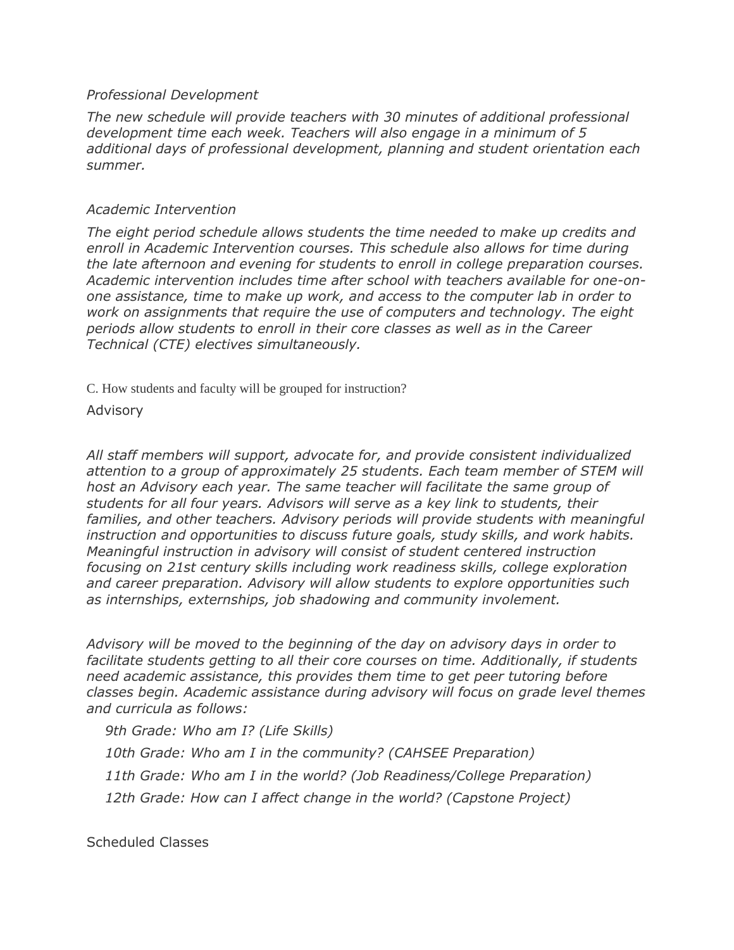# *Professional Development*

*The new schedule will provide teachers with 30 minutes of additional professional development time each week. Teachers will also engage in a minimum of 5 additional days of professional development, planning and student orientation each summer.*

# *Academic Intervention*

The eight period schedule allows students the time needed to make up credits and *enroll in Academic Intervention courses. This schedule also allows for time during the late afternoon and evening for students to enroll in college preparation courses. Academic intervention includes time after school with teachers available for one-onone assistance, time to make up work, and access to the computer lab in order to work on assignments that require the use of computers and technology. The eight periods allow students to enroll in their core classes as well as in the Career Technical (CTE) electives simultaneously.*

C. How students and faculty will be grouped for instruction?

Advisory

*All staff members will support, advocate for, and provide consistent individualized attention to a group of approximately 25 students. Each team member of STEM will host an Advisory each year. The same teacher will facilitate the same group of students for all four years. Advisors will serve as a key link to students, their*  families, and other teachers. Advisory periods will provide students with meaningful *instruction and opportunities to discuss future goals, study skills, and work habits. Meaningful instruction in advisory will consist of student centered instruction focusing on 21st century skills including work readiness skills, college exploration and career preparation. Advisory will allow students to explore opportunities such as internships, externships, job shadowing and community involement.*

*Advisory will be moved to the beginning of the day on advisory days in order to facilitate students getting to all their core courses on time. Additionally, if students need academic assistance, this provides them time to get peer tutoring before classes begin. Academic assistance during advisory will focus on grade level themes and curricula as follows:*

*9th Grade: Who am I? (Life Skills)*

*10th Grade: Who am I in the community? (CAHSEE Preparation)*

*11th Grade: Who am I in the world? (Job Readiness/College Preparation)*

*12th Grade: How can I affect change in the world? (Capstone Project)*

Scheduled Classes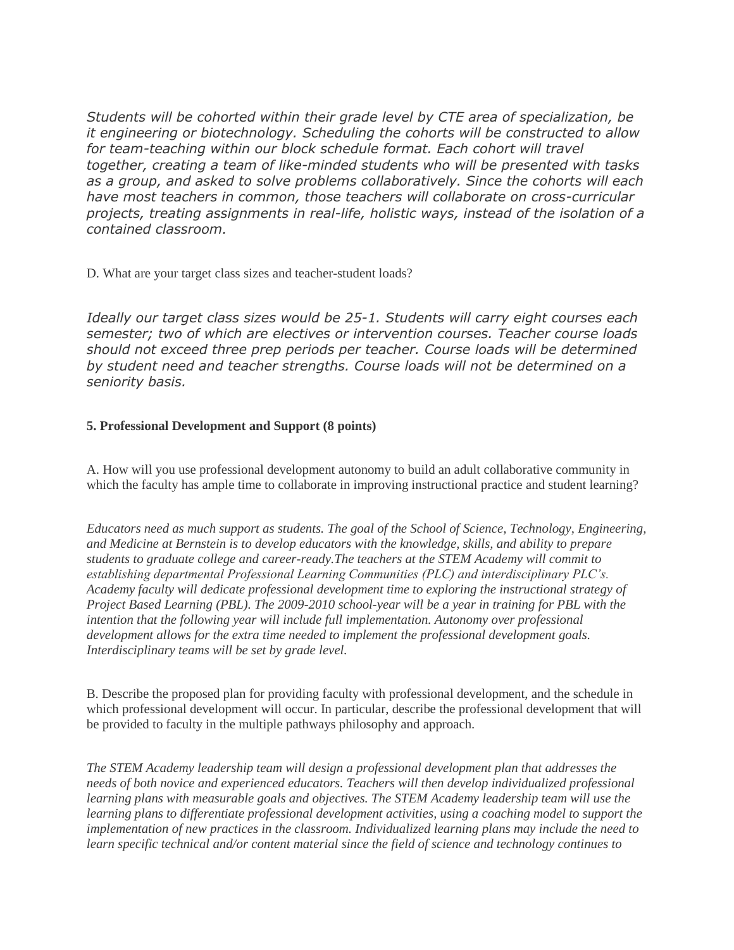*Students will be cohorted within their grade level by CTE area of specialization, be it engineering or biotechnology. Scheduling the cohorts will be constructed to allow*  for team-teaching within our block schedule format. Each cohort will travel *together, creating a team of like-minded students who will be presented with tasks as a group, and asked to solve problems collaboratively. Since the cohorts will each have most teachers in common, those teachers will collaborate on cross-curricular projects, treating assignments in real-life, holistic ways, instead of the isolation of a contained classroom.*

D. What are your target class sizes and teacher-student loads?

*Ideally our target class sizes would be 25-1. Students will carry eight courses each semester; two of which are electives or intervention courses. Teacher course loads should not exceed three prep periods per teacher. Course loads will be determined by student need and teacher strengths. Course loads will not be determined on a seniority basis.*

## **5. Professional Development and Support (8 points)**

A. How will you use professional development autonomy to build an adult collaborative community in which the faculty has ample time to collaborate in improving instructional practice and student learning?

*Educators need as much support as students. The goal of the School of Science, Technology, Engineering, and Medicine at Bernstein is to develop educators with the knowledge, skills, and ability to prepare students to graduate college and career-ready.The teachers at the STEM Academy will commit to establishing departmental Professional Learning Communities (PLC) and interdisciplinary PLC's. Academy faculty will dedicate professional development time to exploring the instructional strategy of Project Based Learning (PBL). The 2009-2010 school-year will be a year in training for PBL with the intention that the following year will include full implementation. Autonomy over professional development allows for the extra time needed to implement the professional development goals. Interdisciplinary teams will be set by grade level.*

B. Describe the proposed plan for providing faculty with professional development, and the schedule in which professional development will occur. In particular, describe the professional development that will be provided to faculty in the multiple pathways philosophy and approach.

*The STEM Academy leadership team will design a professional development plan that addresses the needs of both novice and experienced educators. Teachers will then develop individualized professional learning plans with measurable goals and objectives. The STEM Academy leadership team will use the learning plans to differentiate professional development activities, using a coaching model to support the implementation of new practices in the classroom. Individualized learning plans may include the need to learn specific technical and/or content material since the field of science and technology continues to*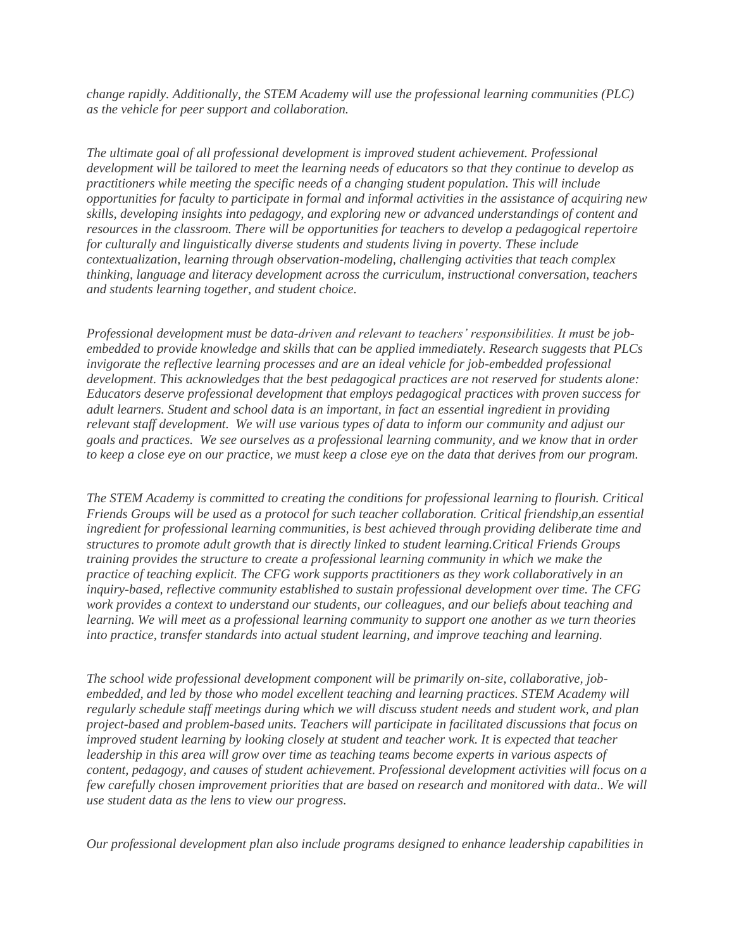*change rapidly. Additionally, the STEM Academy will use the professional learning communities (PLC) as the vehicle for peer support and collaboration.*

*The ultimate goal of all professional development is improved student achievement. Professional development will be tailored to meet the learning needs of educators so that they continue to develop as practitioners while meeting the specific needs of a changing student population. This will include opportunities for faculty to participate in formal and informal activities in the assistance of acquiring new skills, developing insights into pedagogy, and exploring new or advanced understandings of content and resources in the classroom. There will be opportunities for teachers to develop a pedagogical repertoire for culturally and linguistically diverse students and students living in poverty. These include contextualization, learning through observation-modeling, challenging activities that teach complex thinking, language and literacy development across the curriculum, instructional conversation, teachers and students learning together, and student choice.*

*Professional development must be data-driven and relevant to teachers' responsibilities. It must be jobembedded to provide knowledge and skills that can be applied immediately. Research suggests that PLCs invigorate the reflective learning processes and are an ideal vehicle for job-embedded professional development. This acknowledges that the best pedagogical practices are not reserved for students alone: Educators deserve professional development that employs pedagogical practices with proven success for adult learners. Student and school data is an important, in fact an essential ingredient in providing relevant staff development. We will use various types of data to inform our community and adjust our goals and practices. We see ourselves as a professional learning community, and we know that in order to keep a close eye on our practice, we must keep a close eye on the data that derives from our program.*

*The STEM Academy is committed to creating the conditions for professional learning to flourish. Critical Friends Groups will be used as a protocol for such teacher collaboration. Critical friendship,an essential ingredient for professional learning communities, is best achieved through providing deliberate time and structures to promote adult growth that is directly linked to student learning.Critical Friends Groups training provides the structure to create a professional learning community in which we make the practice of teaching explicit. The CFG work supports practitioners as they work collaboratively in an inquiry-based, reflective community established to sustain professional development over time. The CFG work provides a context to understand our students, our colleagues, and our beliefs about teaching and learning. We will meet as a professional learning community to support one another as we turn theories into practice, transfer standards into actual student learning, and improve teaching and learning.*

*The school wide professional development component will be primarily on-site, collaborative, jobembedded, and led by those who model excellent teaching and learning practices. STEM Academy will regularly schedule staff meetings during which we will discuss student needs and student work, and plan project-based and problem-based units. Teachers will participate in facilitated discussions that focus on improved student learning by looking closely at student and teacher work. It is expected that teacher leadership in this area will grow over time as teaching teams become experts in various aspects of content, pedagogy, and causes of student achievement. Professional development activities will focus on a few carefully chosen improvement priorities that are based on research and monitored with data.. We will use student data as the lens to view our progress.*

*Our professional development plan also include programs designed to enhance leadership capabilities in*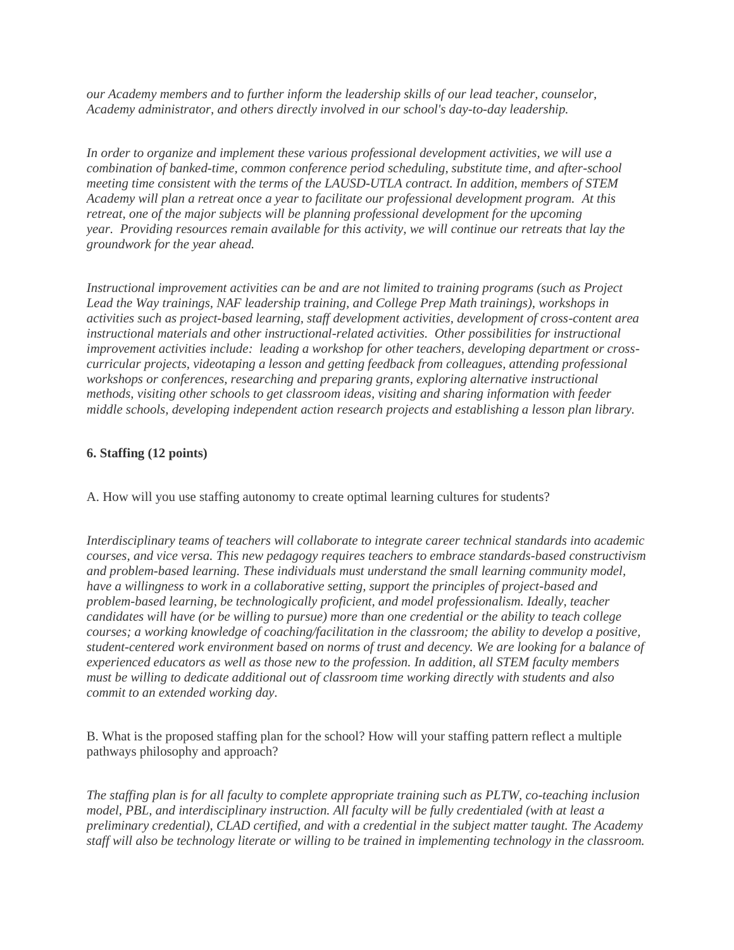*our Academy members and to further inform the leadership skills of our lead teacher, counselor, Academy administrator, and others directly involved in our school's day-to-day leadership.*

*In order to organize and implement these various professional development activities, we will use a combination of banked-time, common conference period scheduling, substitute time, and after-school meeting time consistent with the terms of the LAUSD-UTLA contract. In addition, members of STEM Academy will plan a retreat once a year to facilitate our professional development program. At this retreat, one of the major subjects will be planning professional development for the upcoming year. Providing resources remain available for this activity, we will continue our retreats that lay the groundwork for the year ahead.*

*Instructional improvement activities can be and are not limited to training programs (such as Project Lead the Way trainings, NAF leadership training, and College Prep Math trainings), workshops in activities such as project-based learning, staff development activities, development of cross-content area instructional materials and other instructional-related activities. Other possibilities for instructional improvement activities include: leading a workshop for other teachers, developing department or crosscurricular projects, videotaping a lesson and getting feedback from colleagues, attending professional workshops or conferences, researching and preparing grants, exploring alternative instructional methods, visiting other schools to get classroom ideas, visiting and sharing information with feeder middle schools, developing independent action research projects and establishing a lesson plan library.*

# **6. Staffing (12 points)**

A. How will you use staffing autonomy to create optimal learning cultures for students?

*Interdisciplinary teams of teachers will collaborate to integrate career technical standards into academic courses, and vice versa. This new pedagogy requires teachers to embrace standards-based constructivism and problem-based learning. These individuals must understand the small learning community model, have a willingness to work in a collaborative setting, support the principles of project-based and problem-based learning, be technologically proficient, and model professionalism. Ideally, teacher candidates will have (or be willing to pursue) more than one credential or the ability to teach college courses; a working knowledge of coaching/facilitation in the classroom; the ability to develop a positive, student-centered work environment based on norms of trust and decency. We are looking for a balance of experienced educators as well as those new to the profession. In addition, all STEM faculty members must be willing to dedicate additional out of classroom time working directly with students and also commit to an extended working day.*

B. What is the proposed staffing plan for the school? How will your staffing pattern reflect a multiple pathways philosophy and approach?

*The staffing plan is for all faculty to complete appropriate training such as PLTW, co-teaching inclusion model, PBL, and interdisciplinary instruction. All faculty will be fully credentialed (with at least a preliminary credential), CLAD certified, and with a credential in the subject matter taught. The Academy staff will also be technology literate or willing to be trained in implementing technology in the classroom.*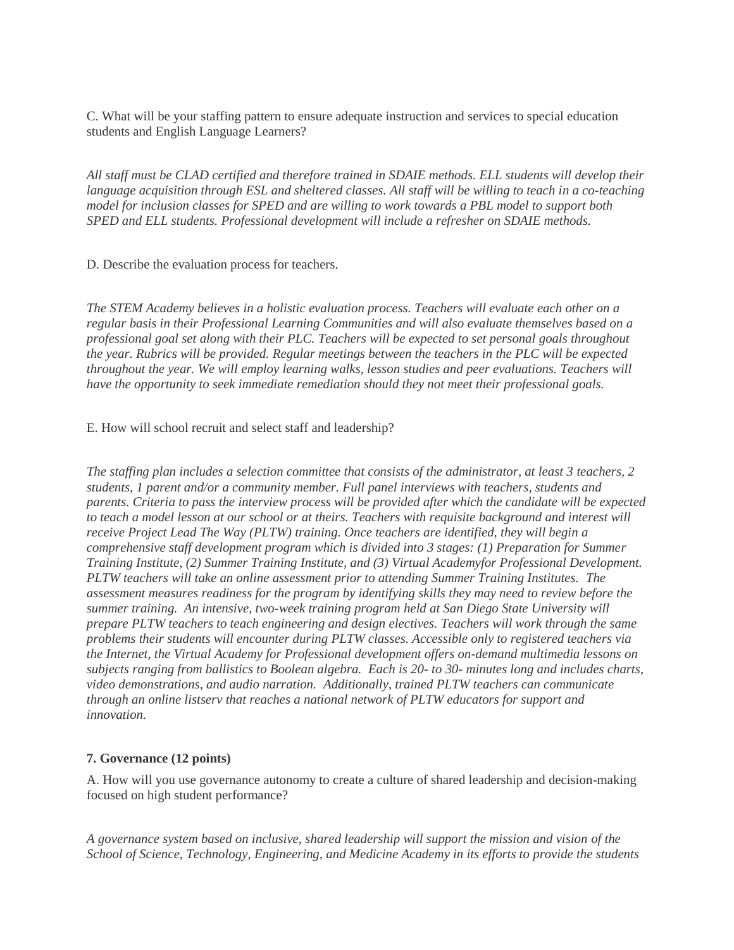C. What will be your staffing pattern to ensure adequate instruction and services to special education students and English Language Learners?

*All staff must be CLAD certified and therefore trained in SDAIE methods. ELL students will develop their language acquisition through ESL and sheltered classes. All staff will be willing to teach in a co-teaching model for inclusion classes for SPED and are willing to work towards a PBL model to support both SPED and ELL students. Professional development will include a refresher on SDAIE methods.*

D. Describe the evaluation process for teachers.

*The STEM Academy believes in a holistic evaluation process. Teachers will evaluate each other on a regular basis in their Professional Learning Communities and will also evaluate themselves based on a professional goal set along with their PLC. Teachers will be expected to set personal goals throughout the year. Rubrics will be provided. Regular meetings between the teachers in the PLC will be expected throughout the year. We will employ learning walks, lesson studies and peer evaluations. Teachers will have the opportunity to seek immediate remediation should they not meet their professional goals.*

### E. How will school recruit and select staff and leadership?

*The staffing plan includes a selection committee that consists of the administrator, at least 3 teachers, 2 students, 1 parent and/or a community member. Full panel interviews with teachers, students and parents. Criteria to pass the interview process will be provided after which the candidate will be expected to teach a model lesson at our school or at theirs. Teachers with requisite background and interest will receive Project Lead The Way (PLTW) training. Once teachers are identified, they will begin a comprehensive staff development program which is divided into 3 stages: (1) Preparation for Summer Training Institute, (2) Summer Training Institute, and (3) Virtual Academyfor Professional Development. PLTW teachers will take an online assessment prior to attending Summer Training Institutes. The assessment measures readiness for the program by identifying skills they may need to review before the summer training. An intensive, two-week training program held at San Diego State University will prepare PLTW teachers to teach engineering and design electives. Teachers will work through the same problems their students will encounter during PLTW classes. Accessible only to registered teachers via the Internet, the Virtual Academy for Professional development offers on-demand multimedia lessons on subjects ranging from ballistics to Boolean algebra. Each is 20- to 30- minutes long and includes charts, video demonstrations, and audio narration. Additionally, trained PLTW teachers can communicate through an online listserv that reaches a national network of PLTW educators for support and innovation.*

### **7. Governance (12 points)**

A. How will you use governance autonomy to create a culture of shared leadership and decision-making focused on high student performance?

*A governance system based on inclusive, shared leadership will support the mission and vision of the School of Science, Technology, Engineering, and Medicine Academy in its efforts to provide the students*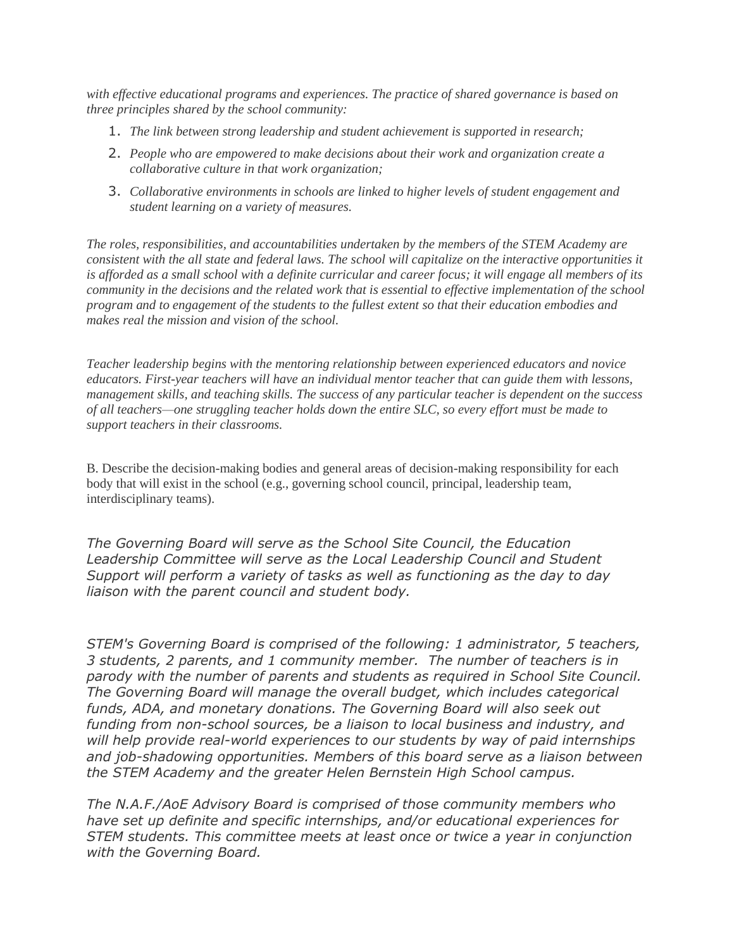*with effective educational programs and experiences. The practice of shared governance is based on three principles shared by the school community:*

- 1. *The link between strong leadership and student achievement is supported in research;*
- 2. *People who are empowered to make decisions about their work and organization create a collaborative culture in that work organization;*
- 3. *Collaborative environments in schools are linked to higher levels of student engagement and student learning on a variety of measures.*

*The roles, responsibilities, and accountabilities undertaken by the members of the STEM Academy are consistent with the all state and federal laws. The school will capitalize on the interactive opportunities it is afforded as a small school with a definite curricular and career focus; it will engage all members of its community in the decisions and the related work that is essential to effective implementation of the school program and to engagement of the students to the fullest extent so that their education embodies and makes real the mission and vision of the school.*

*Teacher leadership begins with the mentoring relationship between experienced educators and novice educators. First-year teachers will have an individual mentor teacher that can guide them with lessons, management skills, and teaching skills. The success of any particular teacher is dependent on the success of all teachers—one struggling teacher holds down the entire SLC, so every effort must be made to support teachers in their classrooms.*

B. Describe the decision-making bodies and general areas of decision-making responsibility for each body that will exist in the school (e.g., governing school council, principal, leadership team, interdisciplinary teams).

*The Governing Board will serve as the School Site Council, the Education Leadership Committee will serve as the Local Leadership Council and Student Support will perform a variety of tasks as well as functioning as the day to day liaison with the parent council and student body.*

*STEM's Governing Board is comprised of the following: 1 administrator, 5 teachers, 3 students, 2 parents, and 1 community member. The number of teachers is in parody with the number of parents and students as required in School Site Council. The Governing Board will manage the overall budget, which includes categorical funds, ADA, and monetary donations. The Governing Board will also seek out funding from non-school sources, be a liaison to local business and industry, and will help provide real-world experiences to our students by way of paid internships and job-shadowing opportunities. Members of this board serve as a liaison between the STEM Academy and the greater Helen Bernstein High School campus.*

*The N.A.F./AoE Advisory Board is comprised of those community members who have set up definite and specific internships, and/or educational experiences for STEM students. This committee meets at least once or twice a year in conjunction with the Governing Board.*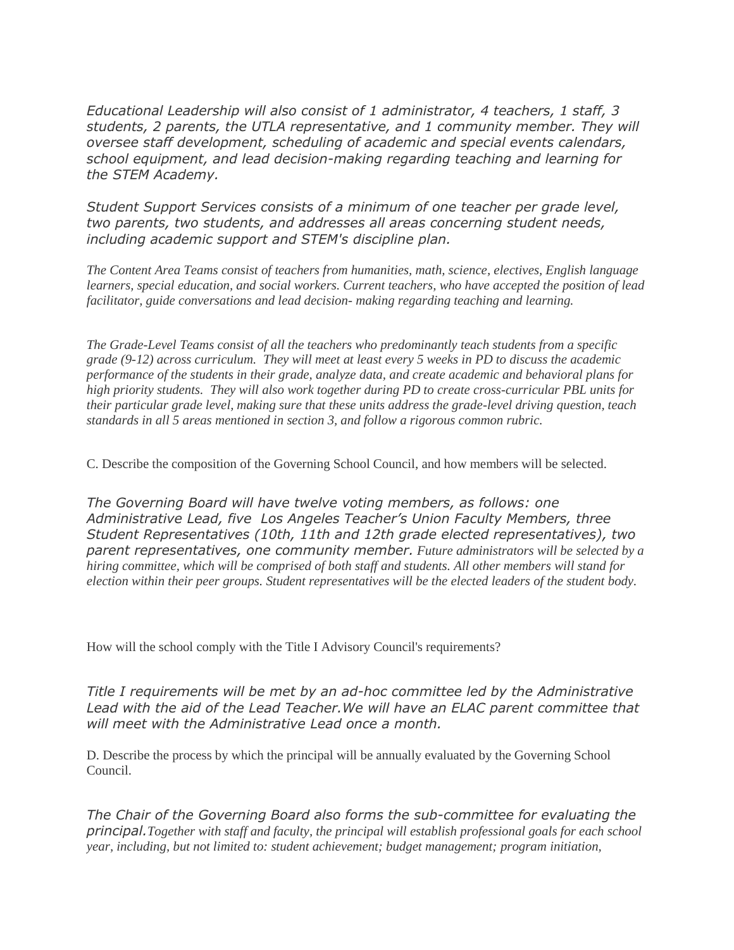*Educational Leadership will also consist of 1 administrator, 4 teachers, 1 staff, 3 students, 2 parents, the UTLA representative, and 1 community member. They will oversee staff development, scheduling of academic and special events calendars, school equipment, and lead decision-making regarding teaching and learning for the STEM Academy.*

*Student Support Services consists of a minimum of one teacher per grade level, two parents, two students, and addresses all areas concerning student needs, including academic support and STEM's discipline plan.*

*The Content Area Teams consist of teachers from humanities, math, science, electives, English language learners, special education, and social workers. Current teachers, who have accepted the position of lead facilitator, guide conversations and lead decision- making regarding teaching and learning.*

*The Grade-Level Teams consist of all the teachers who predominantly teach students from a specific grade (9-12) across curriculum. They will meet at least every 5 weeks in PD to discuss the academic performance of the students in their grade, analyze data, and create academic and behavioral plans for high priority students. They will also work together during PD to create cross-curricular PBL units for their particular grade level, making sure that these units address the grade-level driving question, teach standards in all 5 areas mentioned in section 3, and follow a rigorous common rubric.*

C. Describe the composition of the Governing School Council, and how members will be selected.

*The Governing Board will have twelve voting members, as follows: one Administrative Lead, five Los Angeles Teacher's Union Faculty Members, three Student Representatives (10th, 11th and 12th grade elected representatives), two parent representatives, one community member. Future administrators will be selected by a hiring committee, which will be comprised of both staff and students. All other members will stand for election within their peer groups. Student representatives will be the elected leaders of the student body.*

How will the school comply with the Title I Advisory Council's requirements?

*Title I requirements will be met by an ad-hoc committee led by the Administrative*  Lead with the aid of the Lead Teacher. We will have an ELAC parent committee that *will meet with the Administrative Lead once a month.*

D. Describe the process by which the principal will be annually evaluated by the Governing School Council.

*The Chair of the Governing Board also forms the sub-committee for evaluating the principal.Together with staff and faculty, the principal will establish professional goals for each school year, including, but not limited to: student achievement; budget management; program initiation,*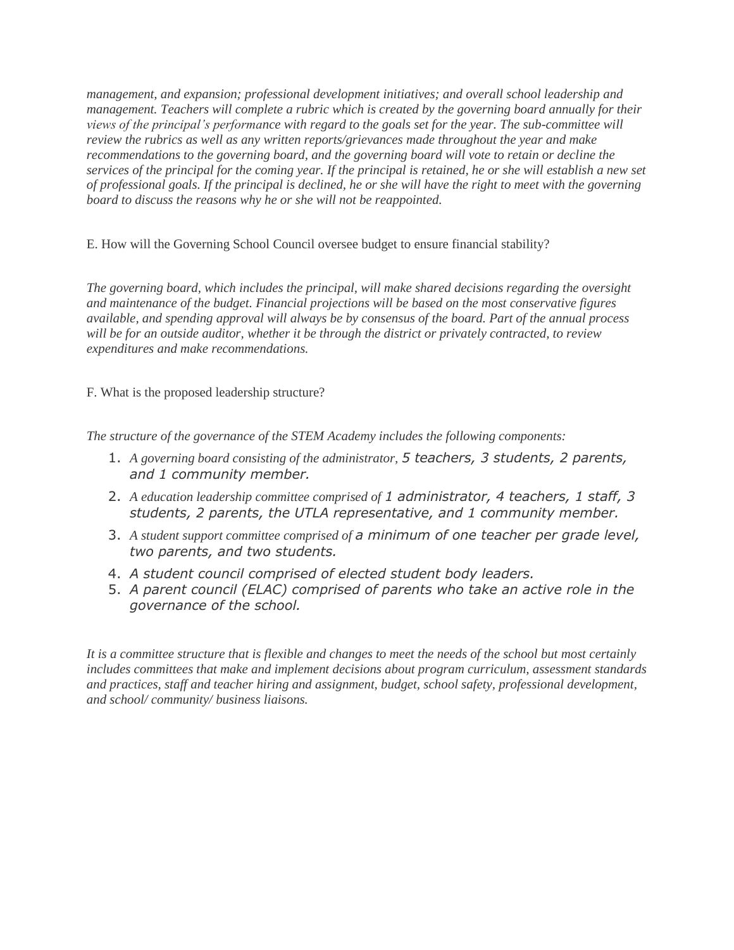*management, and expansion; professional development initiatives; and overall school leadership and management. Teachers will complete a rubric which is created by the governing board annually for their views of the principal's performance with regard to the goals set for the year. The sub-committee will review the rubrics as well as any written reports/grievances made throughout the year and make recommendations to the governing board, and the governing board will vote to retain or decline the services of the principal for the coming year. If the principal is retained, he or she will establish a new set of professional goals. If the principal is declined, he or she will have the right to meet with the governing board to discuss the reasons why he or she will not be reappointed.*

E. How will the Governing School Council oversee budget to ensure financial stability?

*The governing board, which includes the principal, will make shared decisions regarding the oversight and maintenance of the budget. Financial projections will be based on the most conservative figures available, and spending approval will always be by consensus of the board. Part of the annual process will be for an outside auditor, whether it be through the district or privately contracted, to review expenditures and make recommendations.*

F. What is the proposed leadership structure?

*The structure of the governance of the STEM Academy includes the following components:*

- 1. *A governing board consisting of the administrator, 5 teachers, 3 students, 2 parents, and 1 community member.*
- 2. *A education leadership committee comprised of 1 administrator, 4 teachers, 1 staff, 3 students, 2 parents, the UTLA representative, and 1 community member.*
- 3. *A student support committee comprised of a minimum of one teacher per grade level, two parents, and two students.*
- 4. *A student council comprised of elected student body leaders.*
- 5. *A parent council (ELAC) comprised of parents who take an active role in the governance of the school.*

*It is a committee structure that is flexible and changes to meet the needs of the school but most certainly includes committees that make and implement decisions about program curriculum, assessment standards and practices, staff and teacher hiring and assignment, budget, school safety, professional development, and school/ community/ business liaisons.*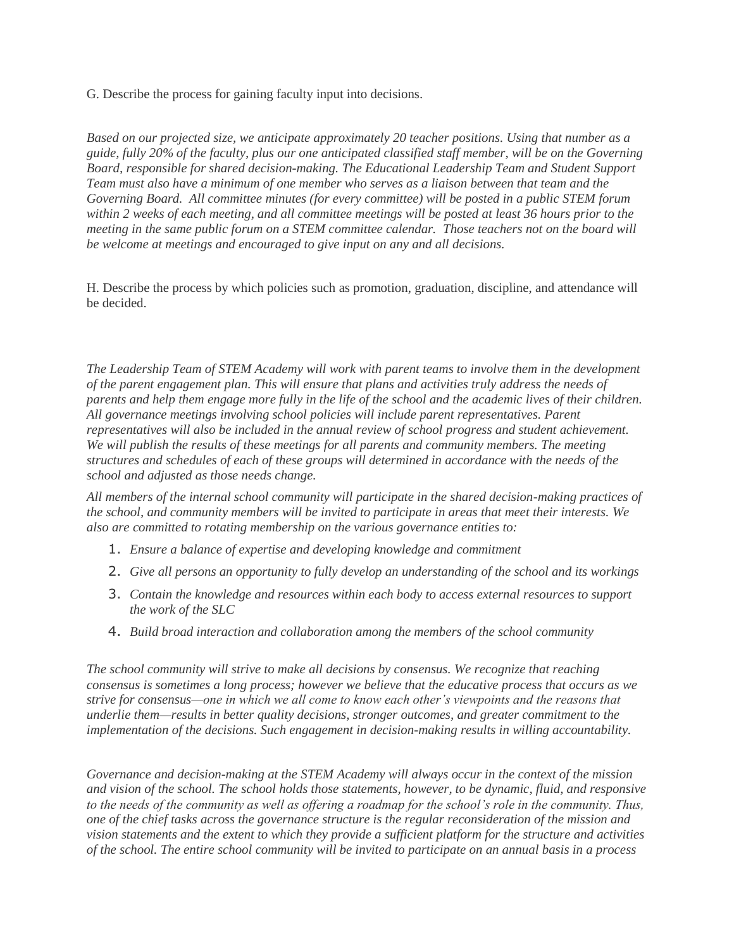G. Describe the process for gaining faculty input into decisions.

*Based on our projected size, we anticipate approximately 20 teacher positions. Using that number as a guide, fully 20% of the faculty, plus our one anticipated classified staff member, will be on the Governing Board, responsible for shared decision-making. The Educational Leadership Team and Student Support Team must also have a minimum of one member who serves as a liaison between that team and the Governing Board. All committee minutes (for every committee) will be posted in a public STEM forum within 2 weeks of each meeting, and all committee meetings will be posted at least 36 hours prior to the meeting in the same public forum on a STEM committee calendar. Those teachers not on the board will be welcome at meetings and encouraged to give input on any and all decisions.*

H. Describe the process by which policies such as promotion, graduation, discipline, and attendance will be decided.

*The Leadership Team of STEM Academy will work with parent teams to involve them in the development of the parent engagement plan. This will ensure that plans and activities truly address the needs of parents and help them engage more fully in the life of the school and the academic lives of their children. All governance meetings involving school policies will include parent representatives. Parent representatives will also be included in the annual review of school progress and student achievement. We will publish the results of these meetings for all parents and community members. The meeting structures and schedules of each of these groups will determined in accordance with the needs of the school and adjusted as those needs change.*

*All members of the internal school community will participate in the shared decision-making practices of the school, and community members will be invited to participate in areas that meet their interests. We also are committed to rotating membership on the various governance entities to:*

- 1. *Ensure a balance of expertise and developing knowledge and commitment*
- 2. *Give all persons an opportunity to fully develop an understanding of the school and its workings*
- 3. *Contain the knowledge and resources within each body to access external resources to support the work of the SLC*
- 4. *Build broad interaction and collaboration among the members of the school community*

*The school community will strive to make all decisions by consensus. We recognize that reaching consensus is sometimes a long process; however we believe that the educative process that occurs as we strive for consensus—one in which we all come to know each other's viewpoints and the reasons that underlie them—results in better quality decisions, stronger outcomes, and greater commitment to the implementation of the decisions. Such engagement in decision-making results in willing accountability.*

*Governance and decision-making at the STEM Academy will always occur in the context of the mission and vision of the school. The school holds those statements, however, to be dynamic, fluid, and responsive to the needs of the community as well as offering a roadmap for the school's role in the community. Thus, one of the chief tasks across the governance structure is the regular reconsideration of the mission and vision statements and the extent to which they provide a sufficient platform for the structure and activities of the school. The entire school community will be invited to participate on an annual basis in a process*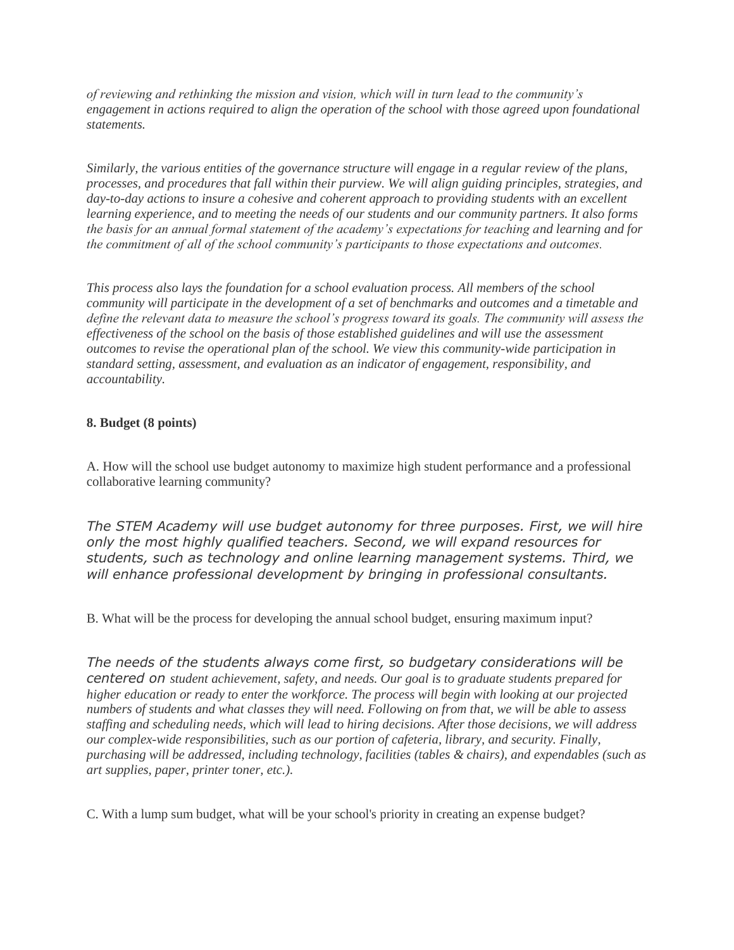*of reviewing and rethinking the mission and vision, which will in turn lead to the community's engagement in actions required to align the operation of the school with those agreed upon foundational statements.*

*Similarly, the various entities of the governance structure will engage in a regular review of the plans, processes, and procedures that fall within their purview. We will align guiding principles, strategies, and day-to-day actions to insure a cohesive and coherent approach to providing students with an excellent learning experience, and to meeting the needs of our students and our community partners. It also forms the basis for an annual formal statement of the academy's expectations for teaching and learning and for the commitment of all of the school community's participants to those expectations and outcomes.*

*This process also lays the foundation for a school evaluation process. All members of the school community will participate in the development of a set of benchmarks and outcomes and a timetable and define the relevant data to measure the school's progress toward its goals. The community will assess the effectiveness of the school on the basis of those established guidelines and will use the assessment outcomes to revise the operational plan of the school. We view this community-wide participation in standard setting, assessment, and evaluation as an indicator of engagement, responsibility, and accountability.*

## **8. Budget (8 points)**

A. How will the school use budget autonomy to maximize high student performance and a professional collaborative learning community?

*The STEM Academy will use budget autonomy for three purposes. First, we will hire only the most highly qualified teachers. Second, we will expand resources for students, such as technology and online learning management systems. Third, we will enhance professional development by bringing in professional consultants.*

B. What will be the process for developing the annual school budget, ensuring maximum input?

*The needs of the students always come first, so budgetary considerations will be centered on student achievement, safety, and needs. Our goal is to graduate students prepared for higher education or ready to enter the workforce. The process will begin with looking at our projected numbers of students and what classes they will need. Following on from that, we will be able to assess staffing and scheduling needs, which will lead to hiring decisions. After those decisions, we will address our complex-wide responsibilities, such as our portion of cafeteria, library, and security. Finally, purchasing will be addressed, including technology, facilities (tables & chairs), and expendables (such as art supplies, paper, printer toner, etc.).*

C. With a lump sum budget, what will be your school's priority in creating an expense budget?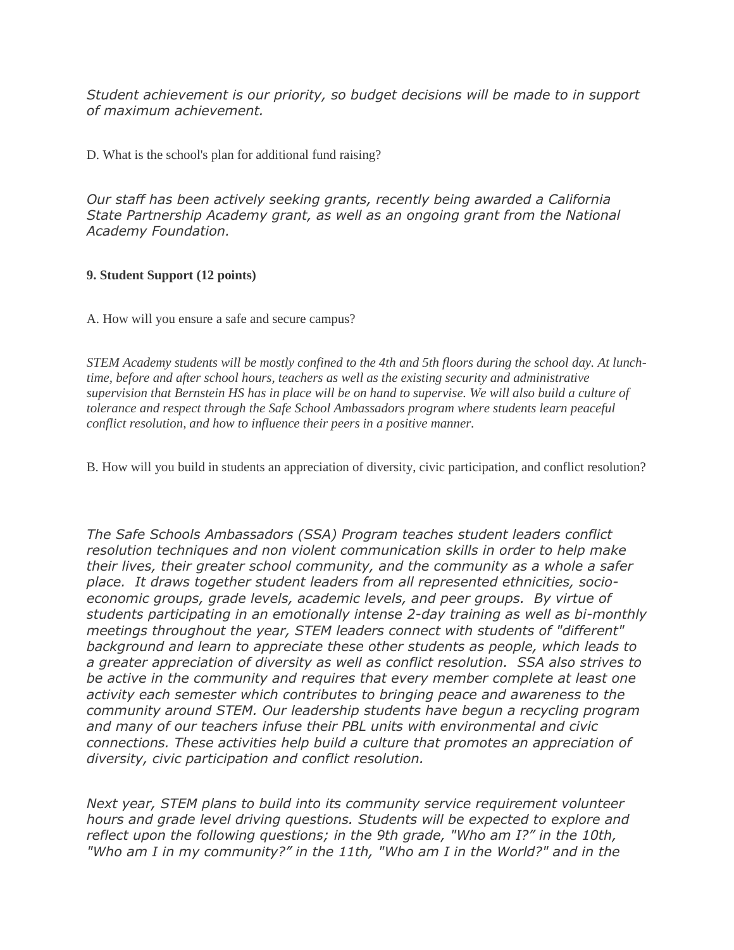*Student achievement is our priority, so budget decisions will be made to in support of maximum achievement.*

D. What is the school's plan for additional fund raising?

*Our staff has been actively seeking grants, recently being awarded a California State Partnership Academy grant, as well as an ongoing grant from the National Academy Foundation.*

## **9. Student Support (12 points)**

A. How will you ensure a safe and secure campus?

*STEM Academy students will be mostly confined to the 4th and 5th floors during the school day. At lunchtime, before and after school hours, teachers as well as the existing security and administrative supervision that Bernstein HS has in place will be on hand to supervise. We will also build a culture of tolerance and respect through the Safe School Ambassadors program where students learn peaceful conflict resolution, and how to influence their peers in a positive manner.*

B. How will you build in students an appreciation of diversity, civic participation, and conflict resolution?

*The Safe Schools Ambassadors (SSA) Program teaches student leaders conflict resolution techniques and non violent communication skills in order to help make their lives, their greater school community, and the community as a whole a safer place. It draws together student leaders from all represented ethnicities, socioeconomic groups, grade levels, academic levels, and peer groups. By virtue of students participating in an emotionally intense 2-day training as well as bi-monthly meetings throughout the year, STEM leaders connect with students of "different" background and learn to appreciate these other students as people, which leads to a greater appreciation of diversity as well as conflict resolution. SSA also strives to be active in the community and requires that every member complete at least one activity each semester which contributes to bringing peace and awareness to the community around STEM. Our leadership students have begun a recycling program and many of our teachers infuse their PBL units with environmental and civic connections. These activities help build a culture that promotes an appreciation of diversity, civic participation and conflict resolution.*

*Next year, STEM plans to build into its community service requirement volunteer hours and grade level driving questions. Students will be expected to explore and reflect upon the following questions; in the 9th grade, "Who am I?" in the 10th, "Who am I in my community?" in the 11th, "Who am I in the World?" and in the*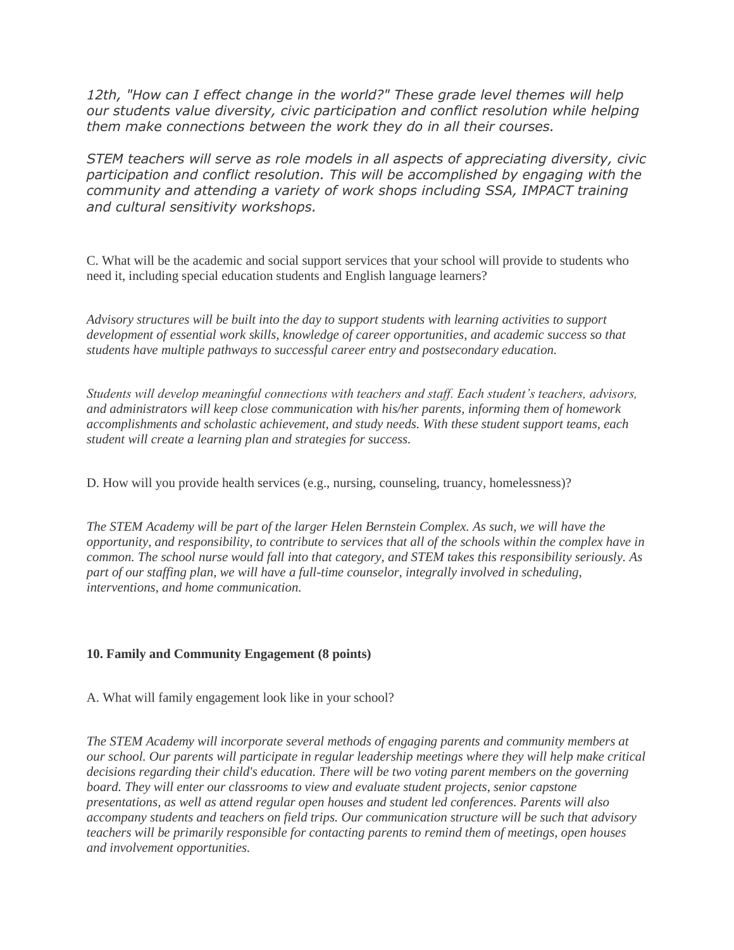*12th, "How can I effect change in the world?" These grade level themes will help our students value diversity, civic participation and conflict resolution while helping them make connections between the work they do in all their courses.*

*STEM teachers will serve as role models in all aspects of appreciating diversity, civic participation and conflict resolution. This will be accomplished by engaging with the community and attending a variety of work shops including SSA, IMPACT training and cultural sensitivity workshops.*

C. What will be the academic and social support services that your school will provide to students who need it, including special education students and English language learners?

*Advisory structures will be built into the day to support students with learning activities to support development of essential work skills, knowledge of career opportunities, and academic success so that students have multiple pathways to successful career entry and postsecondary education.*

*Students will develop meaningful connections with teachers and staff. Each student's teachers, advisors, and administrators will keep close communication with his/her parents, informing them of homework accomplishments and scholastic achievement, and study needs. With these student support teams, each student will create a learning plan and strategies for success.*

D. How will you provide health services (e.g., nursing, counseling, truancy, homelessness)?

*The STEM Academy will be part of the larger Helen Bernstein Complex. As such, we will have the opportunity, and responsibility, to contribute to services that all of the schools within the complex have in common. The school nurse would fall into that category, and STEM takes this responsibility seriously. As part of our staffing plan, we will have a full-time counselor, integrally involved in scheduling, interventions, and home communication.*

### **10. Family and Community Engagement (8 points)**

A. What will family engagement look like in your school?

*The STEM Academy will incorporate several methods of engaging parents and community members at our school. Our parents will participate in regular leadership meetings where they will help make critical decisions regarding their child's education. There will be two voting parent members on the governing board. They will enter our classrooms to view and evaluate student projects, senior capstone presentations, as well as attend regular open houses and student led conferences. Parents will also accompany students and teachers on field trips. Our communication structure will be such that advisory teachers will be primarily responsible for contacting parents to remind them of meetings, open houses and involvement opportunities.*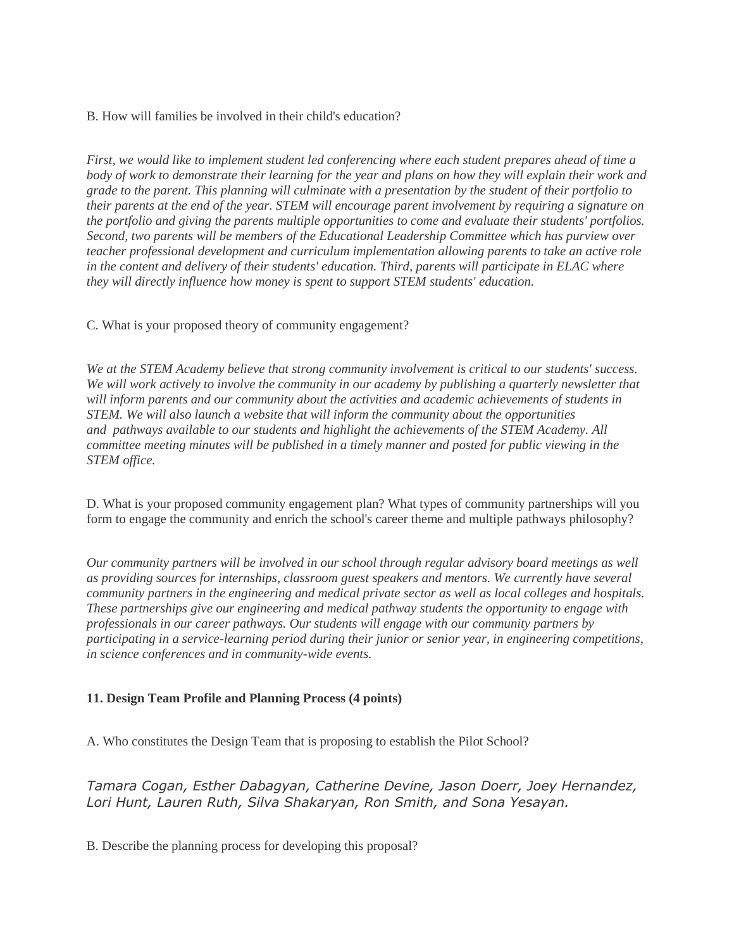B. How will families be involved in their child's education?

*First, we would like to implement student led conferencing where each student prepares ahead of time a body of work to demonstrate their learning for the year and plans on how they will explain their work and grade to the parent. This planning will culminate with a presentation by the student of their portfolio to their parents at the end of the year. STEM will encourage parent involvement by requiring a signature on the portfolio and giving the parents multiple opportunities to come and evaluate their students' portfolios. Second, two parents will be members of the Educational Leadership Committee which has purview over teacher professional development and curriculum implementation allowing parents to take an active role in the content and delivery of their students' education. Third, parents will participate in ELAC where they will directly influence how money is spent to support STEM students' education.*

C. What is your proposed theory of community engagement?

*We at the STEM Academy believe that strong community involvement is critical to our students' success.*  We will work actively to involve the community in our academy by publishing a quarterly newsletter that *will inform parents and our community about the activities and academic achievements of students in STEM. We will also launch a website that will inform the community about the opportunities and pathways available to our students and highlight the achievements of the STEM Academy. All committee meeting minutes will be published in a timely manner and posted for public viewing in the STEM office.*

D. What is your proposed community engagement plan? What types of community partnerships will you form to engage the community and enrich the school's career theme and multiple pathways philosophy?

*Our community partners will be involved in our school through regular advisory board meetings as well as providing sources for internships, classroom guest speakers and mentors. We currently have several community partners in the engineering and medical private sector as well as local colleges and hospitals. These partnerships give our engineering and medical pathway students the opportunity to engage with professionals in our career pathways. Our students will engage with our community partners by participating in a service-learning period during their junior or senior year, in engineering competitions, in science conferences and in community-wide events.*

# **11. Design Team Profile and Planning Process (4 points)**

A. Who constitutes the Design Team that is proposing to establish the Pilot School?

*Tamara Cogan, Esther Dabagyan, Catherine Devine, Jason Doerr, Joey Hernandez, Lori Hunt, Lauren Ruth, Silva Shakaryan, Ron Smith, and Sona Yesayan.*

B. Describe the planning process for developing this proposal?